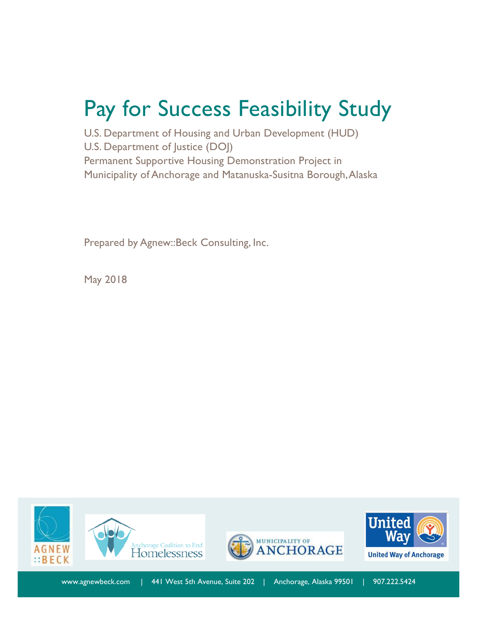# Pay for Success Feasibility Study

U.S. Department of Housing and Urban Development (HUD) U.S. Department of Justice (DOJ) Permanent Supportive Housing Demonstration Project in Municipality of Anchorage and Matanuska-Susitna Borough, Alaska

Prepared by Agnew::Beck Consulting, Inc.

May 2018

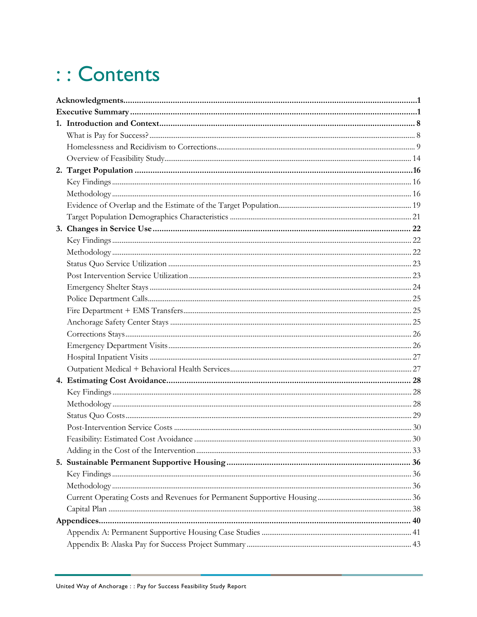# :: Contents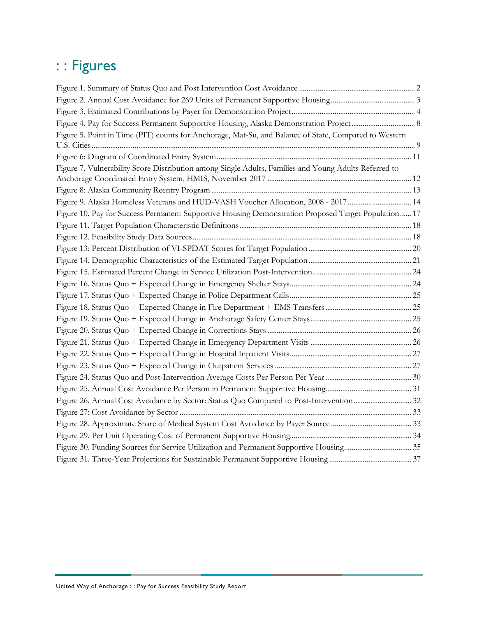# : : Figures

| Figure 5. Point in Time (PIT) counts for Anchorage, Mat-Su, and Balance of State, Compared to Western |  |
|-------------------------------------------------------------------------------------------------------|--|
|                                                                                                       |  |
|                                                                                                       |  |
| Figure 7. Vulnerability Score Distribution among Single Adults, Families and Young Adults Referred to |  |
|                                                                                                       |  |
|                                                                                                       |  |
| Figure 9. Alaska Homeless Veterans and HUD-VASH Voucher Allocation, 2008 - 2017 14                    |  |
| Figure 10. Pay for Success Permanent Supportive Housing Demonstration Proposed Target Population 17   |  |
|                                                                                                       |  |
|                                                                                                       |  |
|                                                                                                       |  |
|                                                                                                       |  |
|                                                                                                       |  |
|                                                                                                       |  |
|                                                                                                       |  |
|                                                                                                       |  |
|                                                                                                       |  |
|                                                                                                       |  |
|                                                                                                       |  |
|                                                                                                       |  |
|                                                                                                       |  |
|                                                                                                       |  |
|                                                                                                       |  |
|                                                                                                       |  |
|                                                                                                       |  |
|                                                                                                       |  |
|                                                                                                       |  |
|                                                                                                       |  |
|                                                                                                       |  |
|                                                                                                       |  |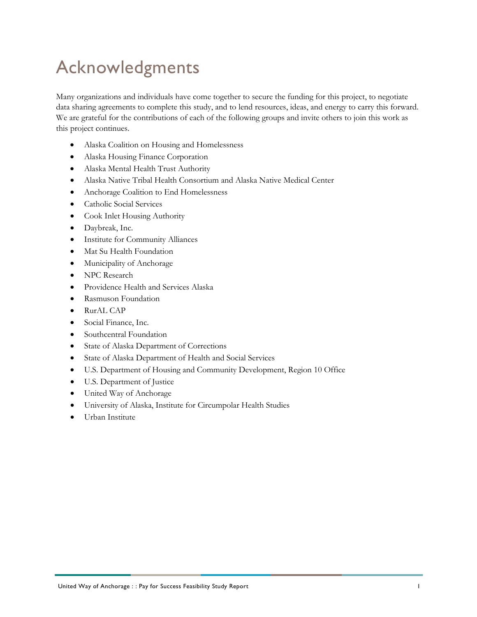# <span id="page-3-0"></span>Acknowledgments

Many organizations and individuals have come together to secure the funding for this project, to negotiate data sharing agreements to complete this study, and to lend resources, ideas, and energy to carry this forward. We are grateful for the contributions of each of the following groups and invite others to join this work as this project continues.

- Alaska Coalition on Housing and Homelessness
- Alaska Housing Finance Corporation
- Alaska Mental Health Trust Authority
- Alaska Native Tribal Health Consortium and Alaska Native Medical Center
- Anchorage Coalition to End Homelessness
- Catholic Social Services
- Cook Inlet Housing Authority
- Daybreak, Inc.
- Institute for Community Alliances
- Mat Su Health Foundation
- Municipality of Anchorage
- NPC Research
- Providence Health and Services Alaska
- Rasmuson Foundation
- RurAL CAP
- Social Finance, Inc.
- Southcentral Foundation
- State of Alaska Department of Corrections
- State of Alaska Department of Health and Social Services
- U.S. Department of Housing and Community Development, Region 10 Office
- U.S. Department of Justice
- United Way of Anchorage
- University of Alaska, Institute for Circumpolar Health Studies
- Urban Institute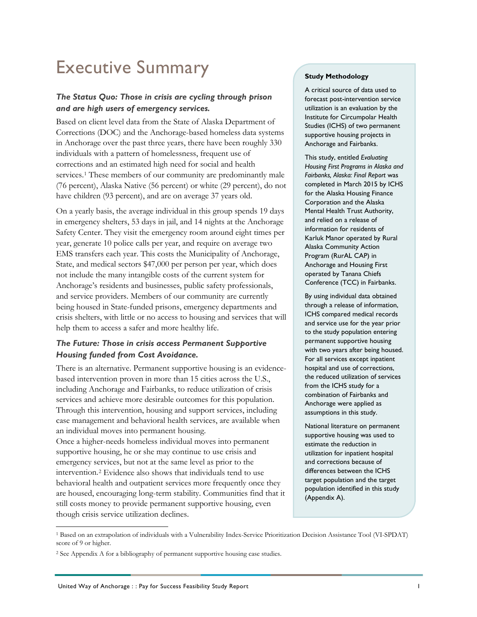# <span id="page-4-0"></span>Executive Summary

# *The Status Quo: Those in crisis are cycling through prison and are high users of emergency services.*

Based on client level data from the State of Alaska Department of Corrections (DOC) and the Anchorage-based homeless data systems in Anchorage over the past three years, there have been roughly 330 individuals with a pattern of homelessness, frequent use of corrections and an estimated high need for social and health services.<sup>[1](#page-4-1)</sup> These members of our community are predominantly male (76 percent), Alaska Native (56 percent) or white (29 percent), do not have children (93 percent), and are on average 37 years old.

On a yearly basis, the average individual in this group spends 19 days in emergency shelters, 53 days in jail, and 14 nights at the Anchorage Safety Center. They visit the emergency room around eight times per year, generate 10 police calls per year, and require on average two EMS transfers each year. This costs the Municipality of Anchorage, State, and medical sectors \$47,000 per person per year, which does not include the many intangible costs of the current system for Anchorage's residents and businesses, public safety professionals, and service providers. Members of our community are currently being housed in State-funded prisons, emergency departments and crisis shelters, with little or no access to housing and services that will help them to access a safer and more healthy life.

# *The Future: Those in crisis access Permanent Supportive Housing funded from Cost Avoidance.*

There is an alternative. Permanent supportive housing is an evidencebased intervention proven in more than 15 cities across the U.S., including Anchorage and Fairbanks, to reduce utilization of crisis services and achieve more desirable outcomes for this population. Through this intervention, housing and support services, including case management and behavioral health services, are available when an individual moves into permanent housing. Once a higher-needs homeless individual moves into permanent supportive housing, he or she may continue to use crisis and emergency services, but not at the same level as prior to the intervention.[2](#page-4-2) Evidence also shows that individuals tend to use behavioral health and outpatient services more frequently once they are housed, encouraging long-term stability. Communities find that it still costs money to provide permanent supportive housing, even though crisis service utilization declines.

### **Study Methodology**

A critical source of data used to forecast post-intervention service utilization is an evaluation by the Institute for Circumpolar Health Studies (ICHS) of two permanent supportive housing projects in Anchorage and Fairbanks.

This study, entitled *Evaluating Housing First Programs in Alaska and Fairbanks, Alaska: Final Report* was completed in March 2015 by ICHS for the Alaska Housing Finance Corporation and the Alaska Mental Health Trust Authority, and relied on a release of information for residents of Karluk Manor operated by Rural Alaska Community Action Program (RurAL CAP) in Anchorage and Housing First operated by Tanana Chiefs Conference (TCC) in Fairbanks.

By using individual data obtained through a release of information, ICHS compared medical records and service use for the year prior to the study population entering permanent supportive housing with two years after being housed. For all services except inpatient hospital and use of corrections, the reduced utilization of services from the ICHS study for a combination of Fairbanks and Anchorage were applied as assumptions in this study.

National literature on permanent supportive housing was used to estimate the reduction in utilization for inpatient hospital and corrections because of differences between the ICHS target population and the target population identified in this study (Appendix A).

<span id="page-4-1"></span> <sup>1</sup> Based on an extrapolation of individuals with a Vulnerability Index-Service Prioritization Decision Assistance Tool (VI-SPDAT) score of 9 or higher.

<span id="page-4-2"></span><sup>2</sup> See Appendix A for a bibliography of permanent supportive housing case studies.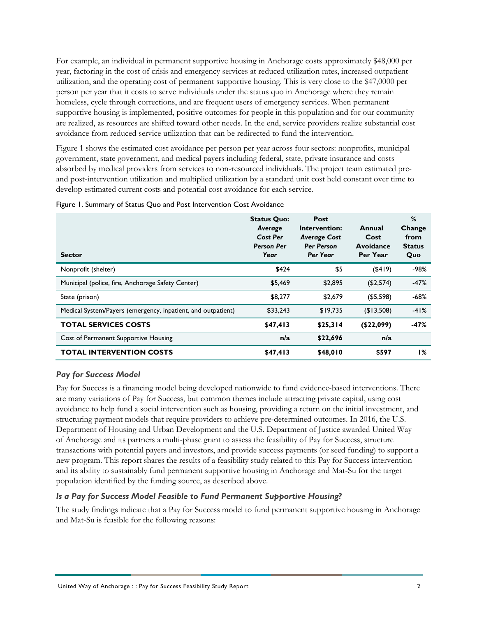For example, an individual in permanent supportive housing in Anchorage costs approximately \$48,000 per year, factoring in the cost of crisis and emergency services at reduced utilization rates, increased outpatient utilization, and the operating cost of permanent supportive housing. This is very close to the \$47,0000 per person per year that it costs to serve individuals under the status quo in Anchorage where they remain homeless, cycle through corrections, and are frequent users of emergency services. When permanent supportive housing is implemented, positive outcomes for people in this population and for our community are realized, as resources are shifted toward other needs. In the end, service providers realize substantial cost avoidance from reduced service utilization that can be redirected to fund the intervention.

[Figure 1](#page-5-0) shows the estimated cost avoidance per person per year across four sectors: nonprofits, municipal government, state government, and medical payers including federal, state, private insurance and costs absorbed by medical providers from services to non-resourced individuals. The project team estimated preand post-intervention utilization and multiplied utilization by a standard unit cost held constant over time to develop estimated current costs and potential cost avoidance for each service.

| <b>Sector</b>                                                | <b>Status Quo:</b><br>Average<br>Cost Per<br><b>Person Per</b><br>Year | Post<br>Intervention:<br><b>Average Cost</b><br><b>Per Person</b><br>Per Year | Annual<br>Cost<br>Avoidance<br>Per Year | %<br>Change<br>from<br><b>Status</b><br>Quo |
|--------------------------------------------------------------|------------------------------------------------------------------------|-------------------------------------------------------------------------------|-----------------------------------------|---------------------------------------------|
| Nonprofit (shelter)                                          | \$424                                                                  | \$5                                                                           | $($ \$419)                              | -98%                                        |
| Municipal (police, fire, Anchorage Safety Center)            | \$5,469                                                                | \$2.895                                                                       | (\$2,574)                               | $-47%$                                      |
| State (prison)                                               | \$8,277                                                                | \$2,679                                                                       | $($ \$5,598)                            | $-68%$                                      |
| Medical System/Payers (emergency, inpatient, and outpatient) | \$33,243                                                               | \$19.735                                                                      | (13,508)                                | $-41%$                                      |
| <b>TOTAL SERVICES COSTS</b>                                  | \$47,413                                                               | \$25,314                                                                      | (\$22,099)                              | -47%                                        |
| Cost of Permanent Supportive Housing                         | n/a                                                                    | \$22,696                                                                      | n/a                                     |                                             |
| <b>TOTAL INTERVENTION COSTS</b>                              | \$47,413                                                               | \$48,010                                                                      | \$597                                   | $1\%$                                       |

### <span id="page-5-0"></span>Figure 1. Summary of Status Quo and Post Intervention Cost Avoidance

### *Pay for Success Model*

Pay for Success is a financing model being developed nationwide to fund evidence-based interventions. There are many variations of Pay for Success, but common themes include attracting private capital, using cost avoidance to help fund a social intervention such as housing, providing a return on the initial investment, and structuring payment models that require providers to achieve pre-determined outcomes. In 2016, the U.S. Department of Housing and Urban Development and the U.S. Department of Justice awarded United Way of Anchorage and its partners a multi-phase grant to assess the feasibility of Pay for Success, structure transactions with potential payers and investors, and provide success payments (or seed funding) to support a new program. This report shares the results of a feasibility study related to this Pay for Success intervention and its ability to sustainably fund permanent supportive housing in Anchorage and Mat-Su for the target population identified by the funding source, as described above.

### *Is a Pay for Success Model Feasible to Fund Permanent Supportive Housing?*

The study findings indicate that a Pay for Success model to fund permanent supportive housing in Anchorage and Mat-Su is feasible for the following reasons: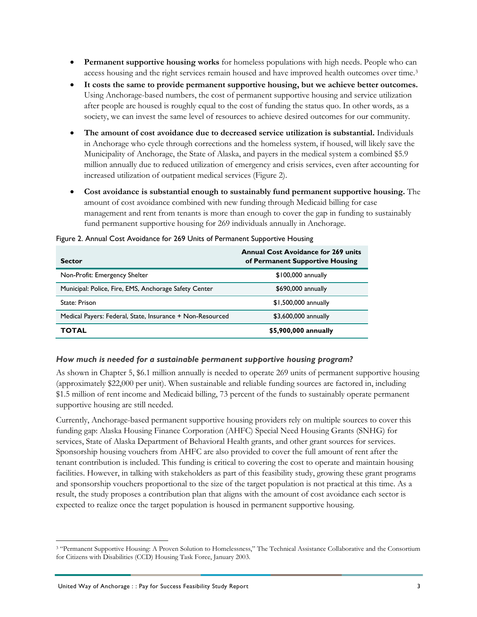- **Permanent supportive housing works** for homeless populations with high needs. People who can access housing and the right services remain housed and have improved health outcomes over time.[3](#page-6-1)
- **It costs the same to provide permanent supportive housing, but we achieve better outcomes.**  Using Anchorage-based numbers, the cost of permanent supportive housing and service utilization after people are housed is roughly equal to the cost of funding the status quo. In other words, as a society, we can invest the same level of resources to achieve desired outcomes for our community.
- **The amount of cost avoidance due to decreased service utilization is substantial.** Individuals in Anchorage who cycle through corrections and the homeless system, if housed, will likely save the Municipality of Anchorage, the State of Alaska, and payers in the medical system a combined \$5.9 million annually due to reduced utilization of emergency and crisis services, even after accounting for increased utilization of outpatient medical services [\(Figure 2\)](#page-6-0).
- **Cost avoidance is substantial enough to sustainably fund permanent supportive housing.** The amount of cost avoidance combined with new funding through Medicaid billing for case management and rent from tenants is more than enough to cover the gap in funding to sustainably fund permanent supportive housing for 269 individuals annually in Anchorage.

| <b>Sector</b>                                             | <b>Annual Cost Avoidance for 269 units</b><br>of Permanent Supportive Housing |
|-----------------------------------------------------------|-------------------------------------------------------------------------------|
| Non-Profit: Emergency Shelter                             | $$100,000$ annually                                                           |
| Municipal: Police, Fire, EMS, Anchorage Safety Center     | \$690,000 annually                                                            |
| State: Prison                                             | \$1,500,000 annually                                                          |
| Medical Payers: Federal, State, Insurance + Non-Resourced | \$3,600,000 annually                                                          |
| ΤΟΤΑL                                                     | \$5,900,000 annually                                                          |

<span id="page-6-0"></span>Figure 2. Annual Cost Avoidance for 269 Units of Permanent Supportive Housing

### *How much is needed for a sustainable permanent supportive housing program?*

As shown in Chapter 5, \$6.1 million annually is needed to operate 269 units of permanent supportive housing (approximately \$22,000 per unit). When sustainable and reliable funding sources are factored in, including \$1.5 million of rent income and Medicaid billing, 73 percent of the funds to sustainably operate permanent supportive housing are still needed.

Currently, Anchorage-based permanent supportive housing providers rely on multiple sources to cover this funding gap: Alaska Housing Finance Corporation (AHFC) Special Need Housing Grants (SNHG) for services, State of Alaska Department of Behavioral Health grants, and other grant sources for services. Sponsorship housing vouchers from AHFC are also provided to cover the full amount of rent after the tenant contribution is included. This funding is critical to covering the cost to operate and maintain housing facilities. However, in talking with stakeholders as part of this feasibility study, growing these grant programs and sponsorship vouchers proportional to the size of the target population is not practical at this time. As a result, the study proposes a contribution plan that aligns with the amount of cost avoidance each sector is expected to realize once the target population is housed in permanent supportive housing.

<span id="page-6-1"></span> <sup>3</sup> "Permanent Supportive Housing: A Proven Solution to Homelessness," The Technical Assistance Collaborative and the Consortium for Citizens with Disabilities (CCD) Housing Task Force, January 2003.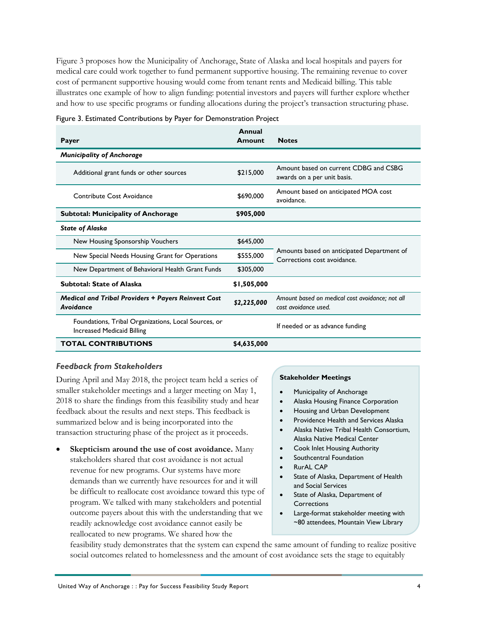[Figure 3](#page-7-0) proposes how the Municipality of Anchorage, State of Alaska and local hospitals and payers for medical care could work together to fund permanent supportive housing. The remaining revenue to cover cost of permanent supportive housing would come from tenant rents and Medicaid billing. This table illustrates one example of how to align funding: potential investors and payers will further explore whether and how to use specific programs or funding allocations during the project's transaction structuring phase.

| Payer                                                                                     | Annual<br>Amount | <b>Notes</b>                                                              |
|-------------------------------------------------------------------------------------------|------------------|---------------------------------------------------------------------------|
| <b>Municipality of Anchorage</b>                                                          |                  |                                                                           |
| Additional grant funds or other sources                                                   | \$215,000        | Amount based on current CDBG and CSBG<br>awards on a per unit basis.      |
| Contribute Cost Avoidance                                                                 | \$690,000        | Amount based on anticipated MOA cost<br>avoidance.                        |
| <b>Subtotal: Municipality of Anchorage</b>                                                | \$905,000        |                                                                           |
| <b>State of Alaska</b>                                                                    |                  |                                                                           |
| New Housing Sponsorship Vouchers                                                          | \$645,000        |                                                                           |
| New Special Needs Housing Grant for Operations                                            | \$555,000        | Amounts based on anticipated Department of<br>Corrections cost avoidance. |
| New Department of Behavioral Health Grant Funds                                           | \$305,000        |                                                                           |
| <b>Subtotal: State of Alaska</b>                                                          | \$1,505,000      |                                                                           |
| <b>Medical and Tribal Providers + Payers Reinvest Cost</b><br>Avoidance                   | \$2,225,000      | Amount based on medical cost avoidance; not all<br>cost avoidance used.   |
| Foundations, Tribal Organizations, Local Sources, or<br><b>Increased Medicaid Billing</b> |                  | If needed or as advance funding                                           |
| <b>TOTAL CONTRIBUTIONS</b>                                                                | \$4,635,000      |                                                                           |

### <span id="page-7-0"></span>Figure 3. Estimated Contributions by Payer for Demonstration Project

### *Feedback from Stakeholders*

During April and May 2018, the project team held a series of smaller stakeholder meetings and a larger meeting on May 1, 2018 to share the findings from this feasibility study and hear feedback about the results and next steps. This feedback is summarized below and is being incorporated into the transaction structuring phase of the project as it proceeds.

• **Skepticism around the use of cost avoidance.** Many stakeholders shared that cost avoidance is not actual revenue for new programs. Our systems have more demands than we currently have resources for and it will be difficult to reallocate cost avoidance toward this type of program. We talked with many stakeholders and potential outcome payers about this with the understanding that we readily acknowledge cost avoidance cannot easily be reallocated to new programs. We shared how the

### **Stakeholder Meetings**

- Municipality of Anchorage
- Alaska Housing Finance Corporation
- Housing and Urban Development
- Providence Health and Services Alaska
- Alaska Native Tribal Health Consortium, Alaska Native Medical Center
- Cook Inlet Housing Authority
- Southcentral Foundation
- RurAL CAP
- State of Alaska, Department of Health and Social Services
- State of Alaska, Department of **Corrections**
- Large-format stakeholder meeting with ~80 attendees, Mountain View Library

feasibility study demonstrates that the system can expend the same amount of funding to realize positive social outcomes related to homelessness and the amount of cost avoidance sets the stage to equitably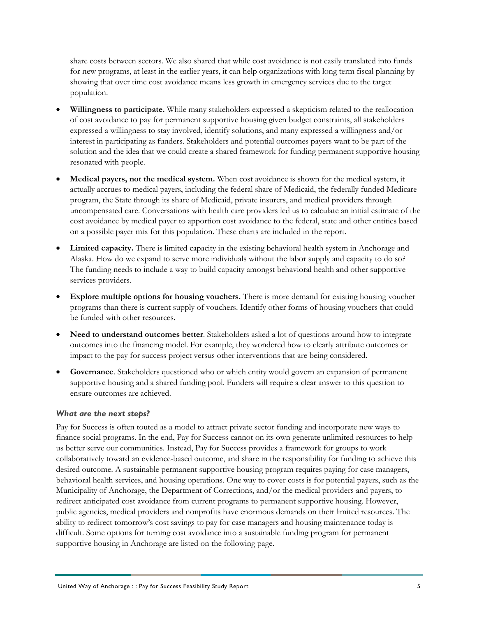share costs between sectors. We also shared that while cost avoidance is not easily translated into funds for new programs, at least in the earlier years, it can help organizations with long term fiscal planning by showing that over time cost avoidance means less growth in emergency services due to the target population.

- **Willingness to participate.** While many stakeholders expressed a skepticism related to the reallocation of cost avoidance to pay for permanent supportive housing given budget constraints, all stakeholders expressed a willingness to stay involved, identify solutions, and many expressed a willingness and/or interest in participating as funders. Stakeholders and potential outcomes payers want to be part of the solution and the idea that we could create a shared framework for funding permanent supportive housing resonated with people.
- **Medical payers, not the medical system.** When cost avoidance is shown for the medical system, it actually accrues to medical payers, including the federal share of Medicaid, the federally funded Medicare program, the State through its share of Medicaid, private insurers, and medical providers through uncompensated care. Conversations with health care providers led us to calculate an initial estimate of the cost avoidance by medical payer to apportion cost avoidance to the federal, state and other entities based on a possible payer mix for this population. These charts are included in the report.
- **Limited capacity.** There is limited capacity in the existing behavioral health system in Anchorage and Alaska. How do we expand to serve more individuals without the labor supply and capacity to do so? The funding needs to include a way to build capacity amongst behavioral health and other supportive services providers.
- **Explore multiple options for housing vouchers.** There is more demand for existing housing voucher programs than there is current supply of vouchers. Identify other forms of housing vouchers that could be funded with other resources.
- **Need to understand outcomes better**. Stakeholders asked a lot of questions around how to integrate outcomes into the financing model. For example, they wondered how to clearly attribute outcomes or impact to the pay for success project versus other interventions that are being considered.
- **Governance**. Stakeholders questioned who or which entity would govern an expansion of permanent supportive housing and a shared funding pool. Funders will require a clear answer to this question to ensure outcomes are achieved.

### *What are the next steps?*

Pay for Success is often touted as a model to attract private sector funding and incorporate new ways to finance social programs. In the end, Pay for Success cannot on its own generate unlimited resources to help us better serve our communities. Instead, Pay for Success provides a framework for groups to work collaboratively toward an evidence-based outcome, and share in the responsibility for funding to achieve this desired outcome. A sustainable permanent supportive housing program requires paying for case managers, behavioral health services, and housing operations. One way to cover costs is for potential payers, such as the Municipality of Anchorage, the Department of Corrections, and/or the medical providers and payers, to redirect anticipated cost avoidance from current programs to permanent supportive housing. However, public agencies, medical providers and nonprofits have enormous demands on their limited resources. The ability to redirect tomorrow's cost savings to pay for case managers and housing maintenance today is difficult. Some options for turning cost avoidance into a sustainable funding program for permanent supportive housing in Anchorage are listed on the following page.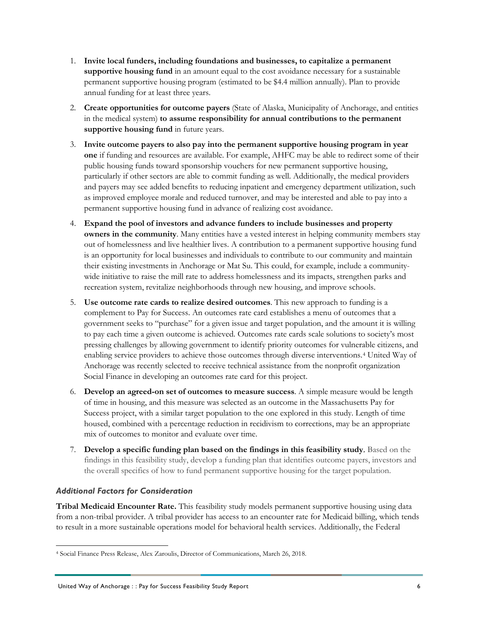- 1. **Invite local funders, including foundations and businesses, to capitalize a permanent supportive housing fund** in an amount equal to the cost avoidance necessary for a sustainable permanent supportive housing program (estimated to be \$4.4 million annually). Plan to provide annual funding for at least three years.
- 2. **Create opportunities for outcome payers** (State of Alaska, Municipality of Anchorage, and entities in the medical system) **to assume responsibility for annual contributions to the permanent supportive housing fund** in future years.
- 3. **Invite outcome payers to also pay into the permanent supportive housing program in year one** if funding and resources are available. For example, AHFC may be able to redirect some of their public housing funds toward sponsorship vouchers for new permanent supportive housing, particularly if other sectors are able to commit funding as well. Additionally, the medical providers and payers may see added benefits to reducing inpatient and emergency department utilization, such as improved employee morale and reduced turnover, and may be interested and able to pay into a permanent supportive housing fund in advance of realizing cost avoidance.
- 4. **Expand the pool of investors and advance funders to include businesses and property owners in the community**. Many entities have a vested interest in helping community members stay out of homelessness and live healthier lives. A contribution to a permanent supportive housing fund is an opportunity for local businesses and individuals to contribute to our community and maintain their existing investments in Anchorage or Mat Su. This could, for example, include a communitywide initiative to raise the mill rate to address homelessness and its impacts, strengthen parks and recreation system, revitalize neighborhoods through new housing, and improve schools.
- 5. **Use outcome rate cards to realize desired outcomes**. This new approach to funding is a complement to Pay for Success. An outcomes rate card establishes a menu of outcomes that a government seeks to "purchase" for a given issue and target population, and the amount it is willing to pay each time a given outcome is achieved. Outcomes rate cards scale solutions to society's most pressing challenges by allowing government to identify priority outcomes for vulnerable citizens, and enabling service providers to achieve those outcomes through diverse interventions.[4](#page-9-0) United Way of Anchorage was recently selected to receive technical assistance from the nonprofit organization Social Finance in developing an outcomes rate card for this project.
- 6. **Develop an agreed-on set of outcomes to measure success**. A simple measure would be length of time in housing, and this measure was selected as an outcome in the Massachusetts Pay for Success project, with a similar target population to the one explored in this study. Length of time housed, combined with a percentage reduction in recidivism to corrections, may be an appropriate mix of outcomes to monitor and evaluate over time.
- 7. **Develop a specific funding plan based on the findings in this feasibility study**. Based on the findings in this feasibility study, develop a funding plan that identifies outcome payers, investors and the overall specifics of how to fund permanent supportive housing for the target population.

# *Additional Factors for Consideration*

**Tribal Medicaid Encounter Rate.** This feasibility study models permanent supportive housing using data from a non-tribal provider. A tribal provider has access to an encounter rate for Medicaid billing, which tends to result in a more sustainable operations model for behavioral health services. Additionally, the Federal

<span id="page-9-0"></span> <sup>4</sup> Social Finance Press Release, Alex Zaroulis, Director of Communications, March 26, 2018.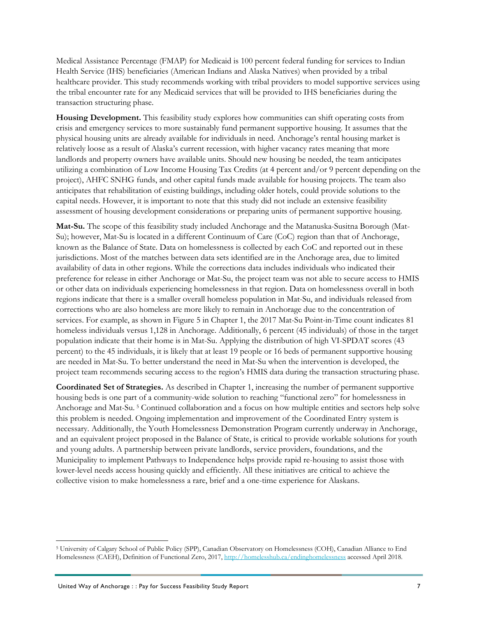Medical Assistance Percentage (FMAP) for Medicaid is 100 percent federal funding for services to Indian Health Service (IHS) beneficiaries (American Indians and Alaska Natives) when provided by a tribal healthcare provider. This study recommends working with tribal providers to model supportive services using the tribal encounter rate for any Medicaid services that will be provided to IHS beneficiaries during the transaction structuring phase.

**Housing Development.** This feasibility study explores how communities can shift operating costs from crisis and emergency services to more sustainably fund permanent supportive housing. It assumes that the physical housing units are already available for individuals in need. Anchorage's rental housing market is relatively loose as a result of Alaska's current recession, with higher vacancy rates meaning that more landlords and property owners have available units. Should new housing be needed, the team anticipates utilizing a combination of Low Income Housing Tax Credits (at 4 percent and/or 9 percent depending on the project), AHFC SNHG funds, and other capital funds made available for housing projects. The team also anticipates that rehabilitation of existing buildings, including older hotels, could provide solutions to the capital needs. However, it is important to note that this study did not include an extensive feasibility assessment of housing development considerations or preparing units of permanent supportive housing.

**Mat-Su.** The scope of this feasibility study included Anchorage and the Matanuska-Susitna Borough (Mat-Su); however, Mat-Su is located in a different Continuum of Care (CoC) region than that of Anchorage, known as the Balance of State. Data on homelessness is collected by each CoC and reported out in these jurisdictions. Most of the matches between data sets identified are in the Anchorage area, due to limited availability of data in other regions. While the corrections data includes individuals who indicated their preference for release in either Anchorage or Mat-Su, the project team was not able to secure access to HMIS or other data on individuals experiencing homelessness in that region. Data on homelessness overall in both regions indicate that there is a smaller overall homeless population in Mat-Su, and individuals released from corrections who are also homeless are more likely to remain in Anchorage due to the concentration of services. For example, as shown in [Figure 5](#page-12-1) in Chapter 1, the 2017 Mat-Su Point-in-Time count indicates 81 homeless individuals versus 1,128 in Anchorage. Additionally, 6 percent (45 individuals) of those in the target population indicate that their home is in Mat-Su. Applying the distribution of high VI-SPDAT scores (43 percent) to the 45 individuals, it is likely that at least 19 people or 16 beds of permanent supportive housing are needed in Mat-Su. To better understand the need in Mat-Su when the intervention is developed, the project team recommends securing access to the region's HMIS data during the transaction structuring phase.

**Coordinated Set of Strategies.** As described in Chapter 1, increasing the number of permanent supportive housing beds is one part of a community-wide solution to reaching "functional zero" for homelessness in Anchorage and Mat-Su. [5](#page-10-0) Continued collaboration and a focus on how multiple entities and sectors help solve this problem is needed. Ongoing implementation and improvement of the Coordinated Entry system is necessary. Additionally, the Youth Homelessness Demonstration Program currently underway in Anchorage, and an equivalent project proposed in the Balance of State, is critical to provide workable solutions for youth and young adults. A partnership between private landlords, service providers, foundations, and the Municipality to implement Pathways to Independence helps provide rapid re-housing to assist those with lower-level needs access housing quickly and efficiently. All these initiatives are critical to achieve the collective vision to make homelessness a rare, brief and a one-time experience for Alaskans.

<span id="page-10-0"></span> <sup>5</sup> University of Calgary School of Public Policy (SPP), Canadian Observatory on Homelessness (COH), Canadian Alliance to End Homelessness (CAEH), Definition of Functional Zero, 2017,<http://homelesshub.ca/endinghomelessness> accessed April 2018.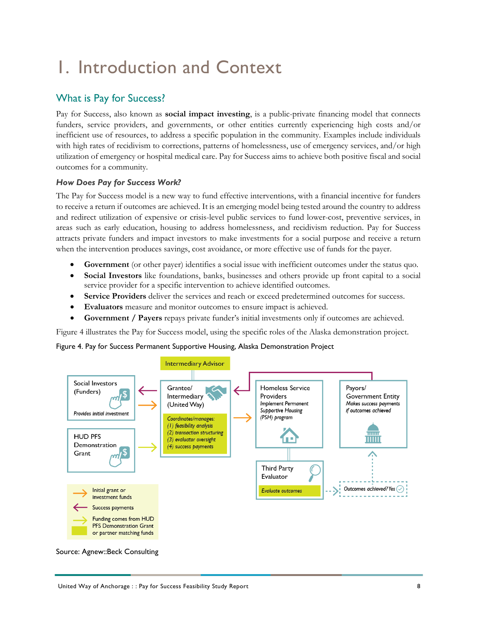# <span id="page-11-0"></span>1. Introduction and Context

# <span id="page-11-1"></span>What is Pay for Success?

Pay for Success, also known as **social impact investing**, is a public-private financing model that connects funders, service providers, and governments, or other entities currently experiencing high costs and/or inefficient use of resources, to address a specific population in the community. Examples include individuals with high rates of recidivism to corrections, patterns of homelessness, use of emergency services, and/or high utilization of emergency or hospital medical care. Pay for Success aims to achieve both positive fiscal and social outcomes for a community.

# *How Does Pay for Success Work?*

The Pay for Success model is a new way to fund effective interventions, with a financial incentive for funders to receive a return if outcomes are achieved. It is an emerging model being tested around the country to address and redirect utilization of expensive or crisis-level public services to fund lower-cost, preventive services, in areas such as early education, housing to address homelessness, and recidivism reduction. Pay for Success attracts private funders and impact investors to make investments for a social purpose and receive a return when the intervention produces savings, cost avoidance, or more effective use of funds for the payer.

- **Government** (or other payer) identifies a social issue with inefficient outcomes under the status quo.
- **Social Investors** like foundations, banks, businesses and others provide up front capital to a social service provider for a specific intervention to achieve identified outcomes.
- **Service Providers** deliver the services and reach or exceed predetermined outcomes for success.
- **Evaluators** measure and monitor outcomes to ensure impact is achieved.
- **Government / Payers** repays private funder's initial investments only if outcomes are achieved.

[Figure 4](#page-11-2) illustrates the Pay for Success model, using the specific roles of the Alaska demonstration project.

<span id="page-11-2"></span>Figure 4. Pay for Success Permanent Supportive Housing, Alaska Demonstration Project



Source: Agnew::Beck Consulting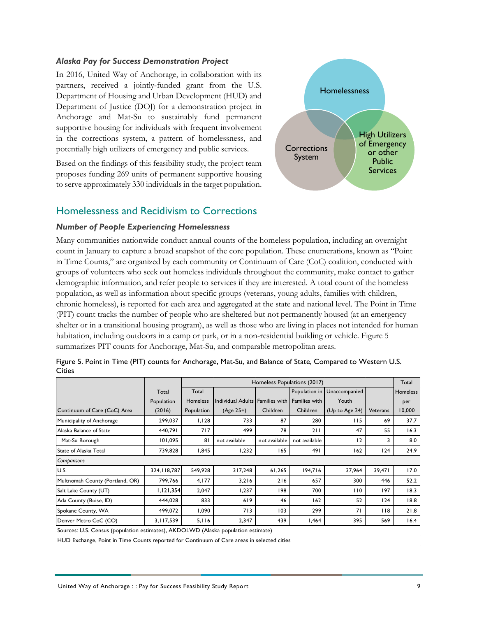### *Alaska Pay for Success Demonstration Project*

In 2016, United Way of Anchorage, in collaboration with its partners, received a jointly-funded grant from the U.S. Department of Housing and Urban Development (HUD) and Department of Justice (DOJ) for a demonstration project in Anchorage and Mat-Su to sustainably fund permanent supportive housing for individuals with frequent involvement in the corrections system, a pattern of homelessness, and potentially high utilizers of emergency and public services.

Based on the findings of this feasibility study, the project team proposes funding 269 units of permanent supportive housing to serve approximately 330 individuals in the target population.



# <span id="page-12-0"></span>Homelessness and Recidivism to Corrections

### *Number of People Experiencing Homelessness*

Many communities nationwide conduct annual counts of the homeless population, including an overnight count in January to capture a broad snapshot of the core population. These enumerations, known as "Point in Time Counts," are organized by each community or Continuum of Care (CoC) coalition, conducted with groups of volunteers who seek out homeless individuals throughout the community, make contact to gather demographic information, and refer people to services if they are interested. A total count of the homeless population, as well as information about specific groups (veterans, young adults, families with children, chronic homeless), is reported for each area and aggregated at the state and national level. The Point in Time (PIT) count tracks the number of people who are sheltered but not permanently housed (at an emergency shelter or in a transitional housing program), as well as those who are living in places not intended for human habitation, including outdoors in a camp or park, or in a non-residential building or vehicle. [Figure 5](#page-12-1) summarizes PIT counts for Anchorage, Mat-Su, and comparable metropolitan areas.

|                                 |               | Homeless Populations (2017) |                                 |               | Total         |                               |          |          |
|---------------------------------|---------------|-----------------------------|---------------------------------|---------------|---------------|-------------------------------|----------|----------|
|                                 | Total         | Total                       |                                 |               |               | Population in   Unaccompanied |          | Homeless |
|                                 | Population    | <b>Homeless</b>             | Individual Adults Families with |               | Families with | Youth                         |          | per      |
| Continuum of Care (CoC) Area    | (2016)        | Population                  | $(Age 25+)$                     | Children      | Children      | (Up to Age 24)                | Veterans | 10,000   |
| Municipality of Anchorage       | 299,037       | 1,128                       | 733                             | 87            | 280           | 115                           | 69       | 37.7     |
| Alaska Balance of State         | 440,791       | 717                         | 499                             | 78            | 211           | 47                            | 55       | 16.3     |
| Mat-Su Borough                  | 101,095       | 81                          | not available                   | not available | not available | 12                            | 3        | 8.0      |
| State of Alaska Total           | 739,828       | 1,845                       | 1,232                           | 165           | 491           | 162                           | 124      | 24.9     |
| Comparisons                     |               |                             |                                 |               |               |                               |          |          |
| IU.S.                           | 324, II8, 787 | 549,928                     | 317,248                         | 61,265        | 194,716       | 37,964                        | 39,471   | 17.0     |
| Multnomah County (Portland, OR) | 799,766       | 4,177                       | 3,216                           | 216           | 657           | 300                           | 446      | 52.2     |
| Salt Lake County (UT)           | 1, 121, 354   | 2,047                       | 1,237                           | 198           | 700           | 110                           | 197      | 18.3     |
| Ada County (Boise, ID)          | 444,028       | 833                         | 619                             | 46            | 162           | 52                            | 124      | 18.8     |
| Spokane County, WA              | 499,072       | 1,090                       | 713                             | 103           | 299           | 71                            | 118      | 21.8     |
| Denver Metro CoC (CO)           | 3,117,539     | 5,116                       | 2,347                           | 439           | 1,464         | 395                           | 569      | 16.4     |

<span id="page-12-1"></span>

|               |  |  | Figure 5. Point in Time (PIT) counts for Anchorage, Mat-Su, and Balance of State, Compared to Western U.S. |  |
|---------------|--|--|------------------------------------------------------------------------------------------------------------|--|
| <b>Cities</b> |  |  |                                                                                                            |  |

Sources: U.S. Census (population estimates), AKDOLWD (Alaska population estimate)

HUD Exchange, Point in Time Counts reported for Continuum of Care areas in selected cities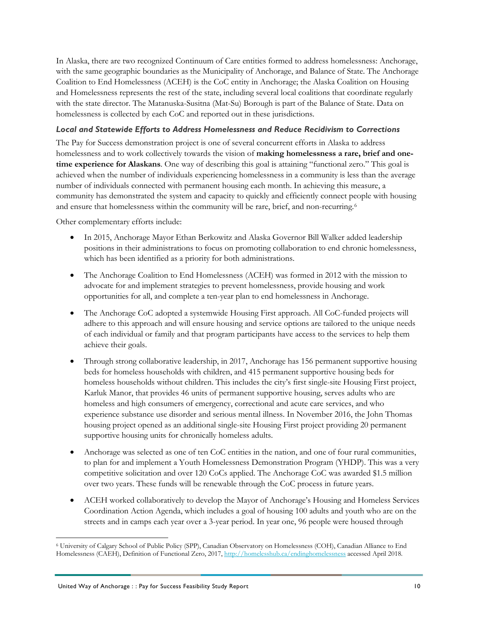In Alaska, there are two recognized Continuum of Care entities formed to address homelessness: Anchorage, with the same geographic boundaries as the Municipality of Anchorage, and Balance of State. The Anchorage Coalition to End Homelessness (ACEH) is the CoC entity in Anchorage; the Alaska Coalition on Housing and Homelessness represents the rest of the state, including several local coalitions that coordinate regularly with the state director. The Matanuska-Susitna (Mat-Su) Borough is part of the Balance of State. Data on homelessness is collected by each CoC and reported out in these jurisdictions.

## *Local and Statewide Efforts to Address Homelessness and Reduce Recidivism to Corrections*

The Pay for Success demonstration project is one of several concurrent efforts in Alaska to address homelessness and to work collectively towards the vision of **making homelessness a rare, brief and onetime experience for Alaskans**. One way of describing this goal is attaining "functional zero." This goal is achieved when the number of individuals experiencing homelessness in a community is less than the average number of individuals connected with permanent housing each month. In achieving this measure, a community has demonstrated the system and capacity to quickly and efficiently connect people with housing and ensure that homelessness within the community will be rare, brief, and non-recurring.[6](#page-13-0)

Other complementary efforts include:

- In 2015, Anchorage Mayor Ethan Berkowitz and Alaska Governor Bill Walker added leadership positions in their administrations to focus on promoting collaboration to end chronic homelessness, which has been identified as a priority for both administrations.
- The Anchorage Coalition to End Homelessness (ACEH) was formed in 2012 with the mission to advocate for and implement strategies to prevent homelessness, provide housing and work opportunities for all, and complete a ten-year plan to end homelessness in Anchorage.
- The Anchorage CoC adopted a systemwide Housing First approach. All CoC-funded projects will adhere to this approach and will ensure housing and service options are tailored to the unique needs of each individual or family and that program participants have access to the services to help them achieve their goals.
- Through strong collaborative leadership, in 2017, Anchorage has 156 permanent supportive housing beds for homeless households with children, and 415 permanent supportive housing beds for homeless households without children. This includes the city's first single-site Housing First project, Karluk Manor, that provides 46 units of permanent supportive housing, serves adults who are homeless and high consumers of emergency, correctional and acute care services, and who experience substance use disorder and serious mental illness. In November 2016, the John Thomas housing project opened as an additional single-site Housing First project providing 20 permanent supportive housing units for chronically homeless adults.
- Anchorage was selected as one of ten CoC entities in the nation, and one of four rural communities, to plan for and implement a Youth Homelessness Demonstration Program (YHDP). This was a very competitive solicitation and over 120 CoCs applied. The Anchorage CoC was awarded \$1.5 million over two years. These funds will be renewable through the CoC process in future years.
- ACEH worked collaboratively to develop the Mayor of Anchorage's Housing and Homeless Services Coordination Action Agenda, which includes a goal of housing 100 adults and youth who are on the streets and in camps each year over a 3-year period. In year one, 96 people were housed through

<span id="page-13-0"></span> <sup>6</sup> University of Calgary School of Public Policy (SPP), Canadian Observatory on Homelessness (COH), Canadian Alliance to End Homelessness (CAEH), Definition of Functional Zero, 2017,<http://homelesshub.ca/endinghomelessness> accessed April 2018.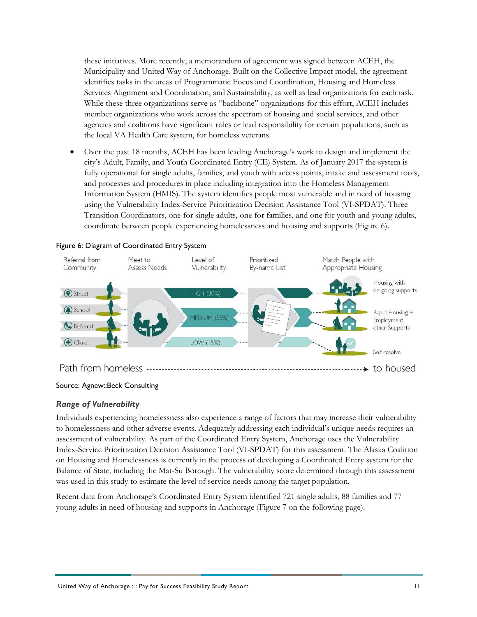these initiatives. More recently, a memorandum of agreement was signed between ACEH, the Municipality and United Way of Anchorage. Built on the Collective Impact model, the agreement identifies tasks in the areas of Programmatic Focus and Coordination, Housing and Homeless Services Alignment and Coordination, and Sustainability, as well as lead organizations for each task. While these three organizations serve as "backbone" organizations for this effort, ACEH includes member organizations who work across the spectrum of housing and social services, and other agencies and coalitions have significant roles or lead responsibility for certain populations, such as the local VA Health Care system, for homeless veterans.

• Over the past 18 months, ACEH has been leading Anchorage's work to design and implement the city's Adult, Family, and Youth Coordinated Entry (CE) System. As of January 2017 the system is fully operational for single adults, families, and youth with access points, intake and assessment tools, and processes and procedures in place including integration into the Homeless Management Information System (HMIS). The system identifies people most vulnerable and in need of housing using the Vulnerability Index-Service Prioritization Decision Assistance Tool (VI-SPDAT). Three Transition Coordinators, one for single adults, one for families, and one for youth and young adults, coordinate between people experiencing homelessness and housing and supports [\(Figure 6\)](#page-14-0).



### <span id="page-14-0"></span>Figure 6: Diagram of Coordinated Entry System

# *Range of Vulnerability*

Individuals experiencing homelessness also experience a range of factors that may increase their vulnerability to homelessness and other adverse events. Adequately addressing each individual's unique needs requires an assessment of vulnerability. As part of the Coordinated Entry System, Anchorage uses the Vulnerability Index-Service Prioritization Decision Assistance Tool (VI-SPDAT) for this assessment. The Alaska Coalition on Housing and Homelessness is currently in the process of developing a Coordinated Entry system for the Balance of State, including the Mat-Su Borough. The vulnerability score determined through this assessment was used in this study to estimate the level of service needs among the target population.

Recent data from Anchorage's Coordinated Entry System identified 721 single adults, 88 families and 77 young adults in need of housing and supports in Anchorage [\(Figure 7](#page-15-0) on the following page).

Source: Agnew::Beck Consulting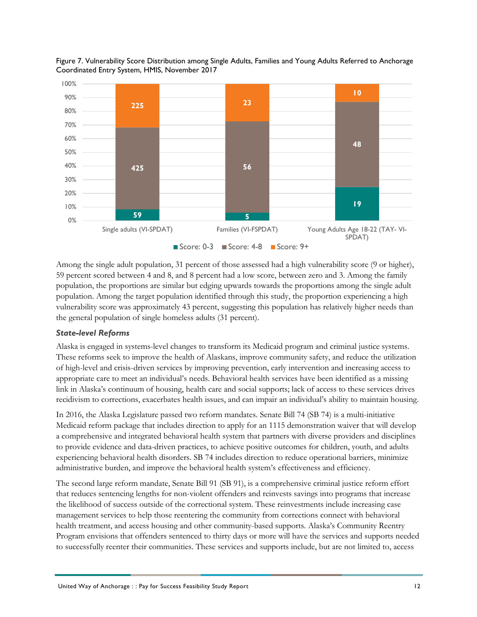

<span id="page-15-0"></span>Figure 7. Vulnerability Score Distribution among Single Adults, Families and Young Adults Referred to Anchorage Coordinated Entry System, HMIS, November 2017

Among the single adult population, 31 percent of those assessed had a high vulnerability score (9 or higher), 59 percent scored between 4 and 8, and 8 percent had a low score, between zero and 3. Among the family population, the proportions are similar but edging upwards towards the proportions among the single adult population. Among the target population identified through this study, the proportion experiencing a high vulnerability score was approximately 43 percent, suggesting this population has relatively higher needs than the general population of single homeless adults (31 percent).

# *State-level Reforms*

Alaska is engaged in systems-level changes to transform its Medicaid program and criminal justice systems. These reforms seek to improve the health of Alaskans, improve community safety, and reduce the utilization of high-level and crisis-driven services by improving prevention, early intervention and increasing access to appropriate care to meet an individual's needs. Behavioral health services have been identified as a missing link in Alaska's continuum of housing, health care and social supports; lack of access to these services drives recidivism to corrections, exacerbates health issues, and can impair an individual's ability to maintain housing.

In 2016, the Alaska Legislature passed two reform mandates. Senate Bill 74 (SB 74) is a multi-initiative Medicaid reform package that includes direction to apply for an 1115 demonstration waiver that will develop a comprehensive and integrated behavioral health system that partners with diverse providers and disciplines to provide evidence and data-driven practices, to achieve positive outcomes for children, youth, and adults experiencing behavioral health disorders. SB 74 includes direction to reduce operational barriers, minimize administrative burden, and improve the behavioral health system's effectiveness and efficiency.

The second large reform mandate, Senate Bill 91 (SB 91), is a comprehensive criminal justice reform effort that reduces sentencing lengths for non-violent offenders and reinvests savings into programs that increase the likelihood of success outside of the correctional system. These reinvestments include increasing case management services to help those reentering the community from corrections connect with behavioral health treatment, and access housing and other community-based supports. Alaska's Community Reentry Program envisions that offenders sentenced to thirty days or more will have the services and supports needed to successfully reenter their communities. These services and supports include, but are not limited to, access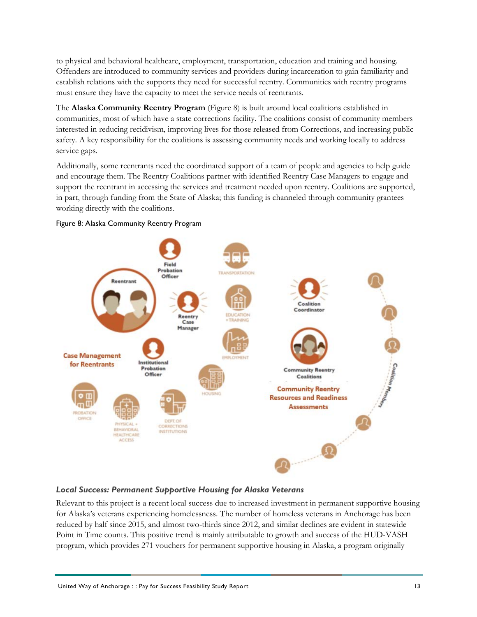to physical and behavioral healthcare, employment, transportation, education and training and housing. Offenders are introduced to community services and providers during incarceration to gain familiarity and establish relations with the supports they need for successful reentry. Communities with reentry programs must ensure they have the capacity to meet the service needs of reentrants.

The **Alaska Community Reentry Program** [\(Figure 8\)](#page-16-0) is built around local coalitions established in communities, most of which have a state corrections facility. The coalitions consist of community members interested in reducing recidivism, improving lives for those released from Corrections, and increasing public safety. A key responsibility for the coalitions is assessing community needs and working locally to address service gaps.

Additionally, some reentrants need the coordinated support of a team of people and agencies to help guide and encourage them. The Reentry Coalitions partner with identified Reentry Case Managers to engage and support the reentrant in accessing the services and treatment needed upon reentry. Coalitions are supported, in part, through funding from the State of Alaska; this funding is channeled through community grantees working directly with the coalitions.



### <span id="page-16-0"></span>Figure 8: Alaska Community Reentry Program

### *Local Success: Permanent Supportive Housing for Alaska Veterans*

Relevant to this project is a recent local success due to increased investment in permanent supportive housing for Alaska's veterans experiencing homelessness. The number of homeless veterans in Anchorage has been reduced by half since 2015, and almost two-thirds since 2012, and similar declines are evident in statewide Point in Time counts. This positive trend is mainly attributable to growth and success of the HUD-VASH program, which provides 271 vouchers for permanent supportive housing in Alaska, a program originally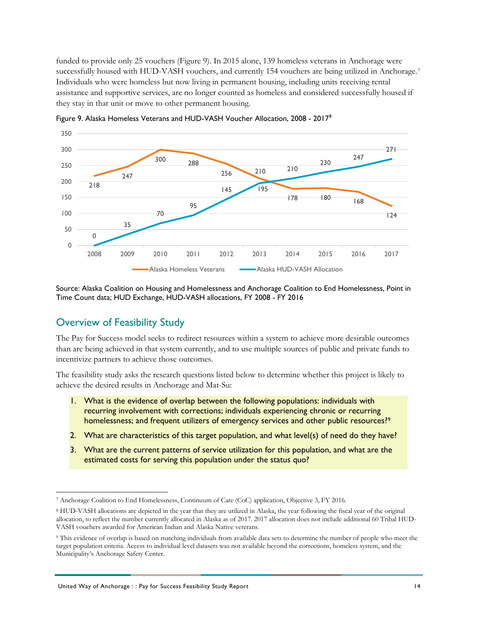funded to provide only 25 vouchers [\(Figure 9\)](#page-17-1). In 2015 alone, 139 homeless veterans in Anchorage were successfully housed with HUD-VASH vouchers, and currently 154 vouchers are being utilized in Anchorage.<sup>[7](#page-17-2)</sup> Individuals who were homeless but now living in permanent housing, including units receiving rental assistance and supportive services, are no longer counted as homeless and considered successfully housed if they stay in that unit or move to other permanent housing.



<span id="page-17-1"></span>Figure 9. Alaska Homeless Veterans and HUD-VASH Voucher Allocation, 2008 - 2017[8](#page-17-3)

Source: Alaska Coalition on Housing and Homelessness and Anchorage Coalition to End Homelessness, Point in Time Count data; HUD Exchange, HUD-VASH allocations, FY 2008 - FY 2016

# <span id="page-17-0"></span>Overview of Feasibility Study

The Pay for Success model seeks to redirect resources within a system to achieve more desirable outcomes than are being achieved in that system currently, and to use multiple sources of public and private funds to incentivize partners to achieve those outcomes.

The feasibility study asks the research questions listed below to determine whether this project is likely to achieve the desired results in Anchorage and Mat-Su:

- 1. What is the evidence of overlap between the following populations: individuals with recurring involvement with corrections; individuals experiencing chronic or recurring homelessness; and frequent utilizers of emergency services and other public resources?<sup>[9](#page-17-4)</sup>
- 2. What are characteristics of this target population, and what level(s) of need do they have?
- 3. What are the current patterns of service utilization for this population, and what are the estimated costs for serving this population under the status quo?

<span id="page-17-2"></span> <sup>7</sup> Anchorage Coalition to End Homelessness, Continuum of Care (CoC) application, Objective 3, FY 2016.

<span id="page-17-3"></span><sup>8</sup> HUD-VASH allocations are depicted in the year that they are utilized in Alaska, the year following the fiscal year of the original allocation, to reflect the number currently allocated in Alaska as of 2017. 2017 allocation does not include additional 60 Tribal HUD-VASH vouchers awarded for American Indian and Alaska Native veterans.

<span id="page-17-4"></span><sup>9</sup> This evidence of overlap is based on matching individuals from available data sets to determine the number of people who meet the target population criteria. Access to individual level datasets was not available beyond the corrections, homeless system, and the Municipality's Anchorage Safety Center.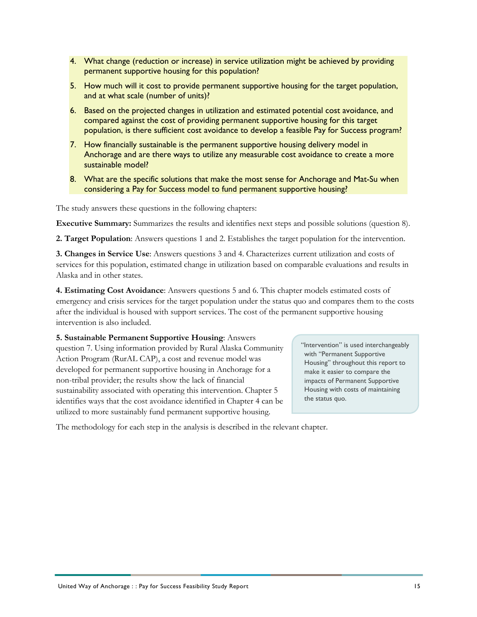- 4. What change (reduction or increase) in service utilization might be achieved by providing permanent supportive housing for this population?
- 5. How much will it cost to provide permanent supportive housing for the target population, and at what scale (number of units)?
- 6. Based on the projected changes in utilization and estimated potential cost avoidance, and compared against the cost of providing permanent supportive housing for this target population, is there sufficient cost avoidance to develop a feasible Pay for Success program?
- 7. How financially sustainable is the permanent supportive housing delivery model in Anchorage and are there ways to utilize any measurable cost avoidance to create a more sustainable model?
- 8. What are the specific solutions that make the most sense for Anchorage and Mat-Su when considering a Pay for Success model to fund permanent supportive housing?

The study answers these questions in the following chapters:

**Executive Summary:** Summarizes the results and identifies next steps and possible solutions (question 8).

**2. Target Population**: Answers questions 1 and 2. Establishes the target population for the intervention.

**3. Changes in Service Use**: Answers questions 3 and 4. Characterizes current utilization and costs of services for this population, estimated change in utilization based on comparable evaluations and results in Alaska and in other states.

**4. Estimating Cost Avoidance**: Answers questions 5 and 6. This chapter models estimated costs of emergency and crisis services for the target population under the status quo and compares them to the costs after the individual is housed with support services. The cost of the permanent supportive housing intervention is also included.

## **5. Sustainable Permanent Supportive Housing**: Answers

question 7. Using information provided by Rural Alaska Community Action Program (RurAL CAP), a cost and revenue model was developed for permanent supportive housing in Anchorage for a non-tribal provider; the results show the lack of financial sustainability associated with operating this intervention. Chapter 5 identifies ways that the cost avoidance identified in Chapter 4 can be utilized to more sustainably fund permanent supportive housing.

"Intervention" is used interchangeably with "Permanent Supportive Housing" throughout this report to make it easier to compare the impacts of Permanent Supportive Housing with costs of maintaining the status quo.

The methodology for each step in the analysis is described in the relevant chapter.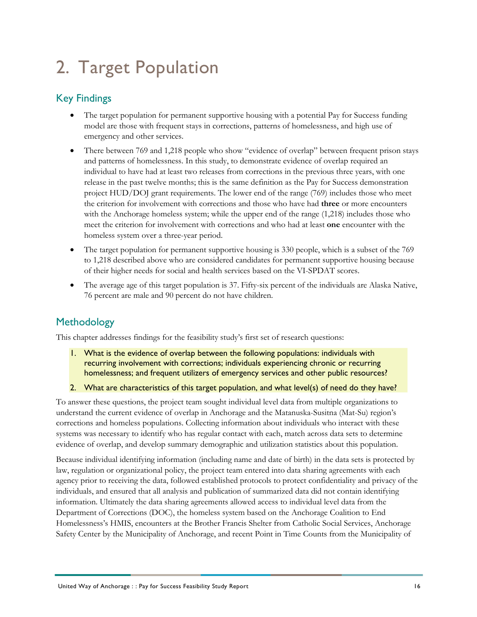# <span id="page-19-0"></span>2. Target Population

# <span id="page-19-1"></span>Key Findings

- The target population for permanent supportive housing with a potential Pay for Success funding model are those with frequent stays in corrections, patterns of homelessness, and high use of emergency and other services.
- There between 769 and 1,218 people who show "evidence of overlap" between frequent prison stays and patterns of homelessness. In this study, to demonstrate evidence of overlap required an individual to have had at least two releases from corrections in the previous three years, with one release in the past twelve months; this is the same definition as the Pay for Success demonstration project HUD/DOJ grant requirements. The lower end of the range (769) includes those who meet the criterion for involvement with corrections and those who have had **three** or more encounters with the Anchorage homeless system; while the upper end of the range (1,218) includes those who meet the criterion for involvement with corrections and who had at least **one** encounter with the homeless system over a three-year period.
- The target population for permanent supportive housing is 330 people, which is a subset of the 769 to 1,218 described above who are considered candidates for permanent supportive housing because of their higher needs for social and health services based on the VI-SPDAT scores.
- The average age of this target population is 37. Fifty-six percent of the individuals are Alaska Native, 76 percent are male and 90 percent do not have children.

# <span id="page-19-2"></span>**Methodology**

This chapter addresses findings for the feasibility study's first set of research questions:

- 1. What is the evidence of overlap between the following populations: individuals with recurring involvement with corrections; individuals experiencing chronic or recurring homelessness; and frequent utilizers of emergency services and other public resources?
- 2. What are characteristics of this target population, and what level(s) of need do they have?

To answer these questions, the project team sought individual level data from multiple organizations to understand the current evidence of overlap in Anchorage and the Matanuska-Susitna (Mat-Su) region's corrections and homeless populations. Collecting information about individuals who interact with these systems was necessary to identify who has regular contact with each, match across data sets to determine evidence of overlap, and develop summary demographic and utilization statistics about this population.

Because individual identifying information (including name and date of birth) in the data sets is protected by law, regulation or organizational policy, the project team entered into data sharing agreements with each agency prior to receiving the data, followed established protocols to protect confidentiality and privacy of the individuals, and ensured that all analysis and publication of summarized data did not contain identifying information. Ultimately the data sharing agreements allowed access to individual level data from the Department of Corrections (DOC), the homeless system based on the Anchorage Coalition to End Homelessness's HMIS, encounters at the Brother Francis Shelter from Catholic Social Services, Anchorage Safety Center by the Municipality of Anchorage, and recent Point in Time Counts from the Municipality of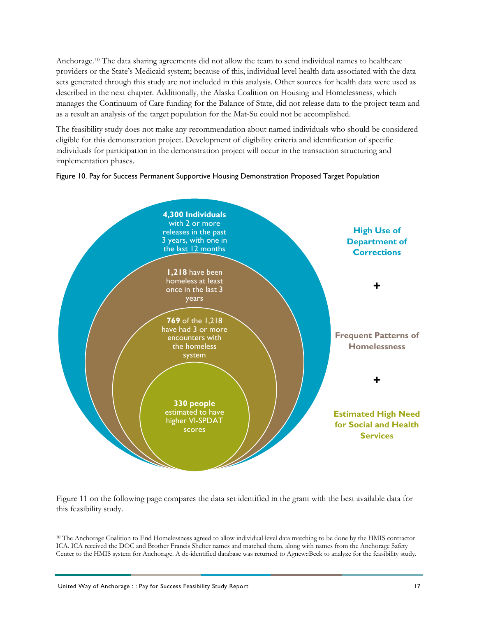Anchorage.[10](#page-20-1) The data sharing agreements did not allow the team to send individual names to healthcare providers or the State's Medicaid system; because of this, individual level health data associated with the data sets generated through this study are not included in this analysis. Other sources for health data were used as described in the next chapter. Additionally, the Alaska Coalition on Housing and Homelessness, which manages the Continuum of Care funding for the Balance of State, did not release data to the project team and as a result an analysis of the target population for the Mat-Su could not be accomplished.

The feasibility study does not make any recommendation about named individuals who should be considered eligible for this demonstration project. Development of eligibility criteria and identification of specific individuals for participation in the demonstration project will occur in the transaction structuring and implementation phases.

<span id="page-20-0"></span>



[Figure 11](#page-21-0) on the following page compares the data set identified in the grant with the best available data for this feasibility study.

<span id="page-20-1"></span> <sup>10</sup> The Anchorage Coalition to End Homelessness agreed to allow individual level data matching to be done by the HMIS contractor ICA. ICA received the DOC and Brother Francis Shelter names and matched them, along with names from the Anchorage Safety Center to the HMIS system for Anchorage. A de-identified database was returned to Agnew::Beck to analyze for the feasibility study.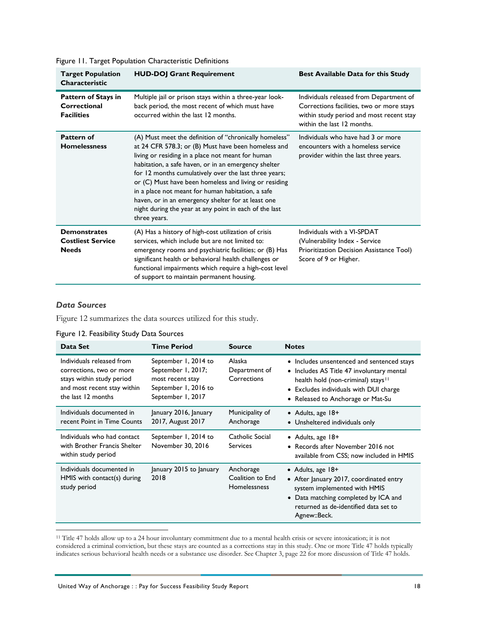| <b>Target Population</b><br><b>Characteristic</b>               | <b>HUD-DOJ Grant Requirement</b>                                                                                                                                                                                                                                                                                                                                                                                                                                                                                                  | <b>Best Available Data for this Study</b>                                                                                                                      |
|-----------------------------------------------------------------|-----------------------------------------------------------------------------------------------------------------------------------------------------------------------------------------------------------------------------------------------------------------------------------------------------------------------------------------------------------------------------------------------------------------------------------------------------------------------------------------------------------------------------------|----------------------------------------------------------------------------------------------------------------------------------------------------------------|
| <b>Pattern of Stays in</b><br>Correctional<br><b>Facilities</b> | Multiple jail or prison stays within a three-year look-<br>back period, the most recent of which must have<br>occurred within the last 12 months.                                                                                                                                                                                                                                                                                                                                                                                 | Individuals released from Department of<br>Corrections facilities, two or more stays<br>within study period and most recent stay<br>within the last 12 months. |
| Pattern of<br><b>Homelessness</b>                               | (A) Must meet the definition of "chronically homeless"<br>at 24 CFR 578.3; or (B) Must have been homeless and<br>living or residing in a place not meant for human<br>habitation, a safe haven, or in an emergency shelter<br>for 12 months cumulatively over the last three years;<br>or (C) Must have been homeless and living or residing<br>in a place not meant for human habitation, a safe<br>haven, or in an emergency shelter for at least one<br>night during the year at any point in each of the last<br>three years. | Individuals who have had 3 or more<br>encounters with a homeless service<br>provider within the last three years.                                              |
| <b>Demonstrates</b><br><b>Costliest Service</b><br><b>Needs</b> | (A) Has a history of high-cost utilization of crisis<br>services, which include but are not limited to:<br>emergency rooms and psychiatric facilities; or (B) Has<br>significant health or behavioral health challenges or<br>functional impairments which require a high-cost level<br>of support to maintain permanent housing.                                                                                                                                                                                                 | Individuals with a VI-SPDAT<br>(Vulnerability Index - Service<br>Prioritization Decision Assistance Tool)<br>Score of 9 or Higher.                             |

<span id="page-21-0"></span>Figure 11. Target Population Characteristic Definitions

## *Data Sources*

[Figure 12](#page-21-1) summarizes the data sources utilized for this study.

<span id="page-21-1"></span>Figure 12. Feasibility Study Data Sources

| Data Set                                                                                                                                | <b>Time Period</b>                                                                                          | <b>Source</b>                                        | <b>Notes</b>                                                                                                                                                                                                             |
|-----------------------------------------------------------------------------------------------------------------------------------------|-------------------------------------------------------------------------------------------------------------|------------------------------------------------------|--------------------------------------------------------------------------------------------------------------------------------------------------------------------------------------------------------------------------|
| Individuals released from<br>corrections, two or more<br>stays within study period<br>and most recent stay within<br>the last 12 months | September 1, 2014 to<br>September 1, 2017;<br>most recent stay<br>September 1, 2016 to<br>September 1, 2017 | Alaska<br>Department of<br>Corrections               | • Includes unsentenced and sentenced stays<br>• Includes AS Title 47 involuntary mental<br>health hold (non-criminal) stays <sup>11</sup><br>• Excludes individuals with DUI charge<br>• Released to Anchorage or Mat-Su |
| Individuals documented in<br>recent Point in Time Counts                                                                                | January 2016, January<br>2017, August 2017                                                                  | Municipality of<br>Anchorage                         | • Adults, age $18+$<br>• Unsheltered individuals only                                                                                                                                                                    |
| Individuals who had contact<br>with Brother Francis Shelter<br>within study period                                                      | September 1, 2014 to<br>November 30, 2016                                                                   | Catholic Social<br><b>Services</b>                   | • Adults, age $18+$<br>• Records after November 2016 not<br>available from CSS; now included in HMIS                                                                                                                     |
| Individuals documented in<br>$HMIS$ with contact(s) during<br>study period                                                              | January 2015 to January<br>2018                                                                             | Anchorage<br>Coalition to End<br><b>Homelessness</b> | • Adults, age $18+$<br>• After January 2017, coordinated entry<br>system implemented with HMIS<br>• Data matching completed by ICA and<br>returned as de-identified data set to<br>Agnew::Beck.                          |

<span id="page-21-2"></span><sup>11</sup> Title 47 holds allow up to a 24 hour involuntary commitment due to a mental health crisis or severe intoxication; it is not considered a criminal conviction, but these stays are counted as a corrections stay in this study. One or more Title 47 holds typically indicates serious behavioral health needs or a substance use disorder. See Chapter 3, page 22 for more discussion of Title 47 holds.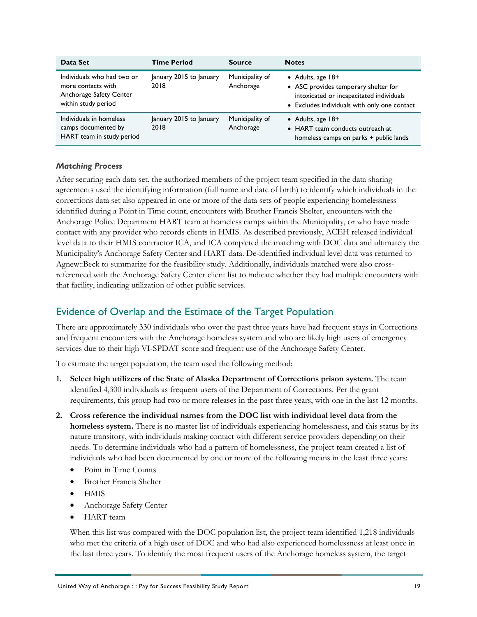| Data Set                                                                                           | <b>Time Period</b>              | <b>Source</b>                | <b>Notes</b>                                                                                                                                            |
|----------------------------------------------------------------------------------------------------|---------------------------------|------------------------------|---------------------------------------------------------------------------------------------------------------------------------------------------------|
| Individuals who had two or<br>more contacts with<br>Anchorage Safety Center<br>within study period | January 2015 to January<br>2018 | Municipality of<br>Anchorage | • Adults, age $18+$<br>• ASC provides temporary shelter for<br>intoxicated or incapacitated individuals<br>• Excludes individuals with only one contact |
| Individuals in homeless<br>camps documented by<br>HART team in study period                        | January 2015 to January<br>2018 | Municipality of<br>Anchorage | • Adults, age $18+$<br>• HART team conducts outreach at<br>homeless camps on parks + public lands                                                       |

### *Matching Process*

After securing each data set, the authorized members of the project team specified in the data sharing agreements used the identifying information (full name and date of birth) to identify which individuals in the corrections data set also appeared in one or more of the data sets of people experiencing homelessness identified during a Point in Time count, encounters with Brother Francis Shelter, encounters with the Anchorage Police Department HART team at homeless camps within the Municipality, or who have made contact with any provider who records clients in HMIS. As described previously, ACEH released individual level data to their HMIS contractor ICA, and ICA completed the matching with DOC data and ultimately the Municipality's Anchorage Safety Center and HART data. De-identified individual level data was returned to Agnew::Beck to summarize for the feasibility study. Additionally, individuals matched were also crossreferenced with the Anchorage Safety Center client list to indicate whether they had multiple encounters with that facility, indicating utilization of other public services.

# <span id="page-22-0"></span>Evidence of Overlap and the Estimate of the Target Population

There are approximately 330 individuals who over the past three years have had frequent stays in Corrections and frequent encounters with the Anchorage homeless system and who are likely high users of emergency services due to their high VI-SPDAT score and frequent use of the Anchorage Safety Center.

To estimate the target population, the team used the following method:

- **1. Select high utilizers of the State of Alaska Department of Corrections prison system.** The team identified 4,300 individuals as frequent users of the Department of Corrections. Per the grant requirements, this group had two or more releases in the past three years, with one in the last 12 months.
- **2. Cross reference the individual names from the DOC list with individual level data from the homeless system.** There is no master list of individuals experiencing homelessness, and this status by its nature transitory, with individuals making contact with different service providers depending on their needs. To determine individuals who had a pattern of homelessness, the project team created a list of individuals who had been documented by one or more of the following means in the least three years:
	- Point in Time Counts
	- Brother Francis Shelter
	- HMIS
	- Anchorage Safety Center
	- HART team

When this list was compared with the DOC population list, the project team identified 1,218 individuals who met the criteria of a high user of DOC and who had also experienced homelessness at least once in the last three years. To identify the most frequent users of the Anchorage homeless system, the target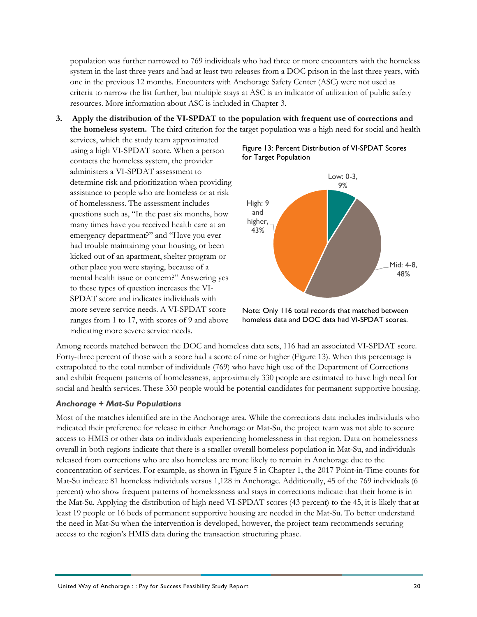population was further narrowed to 769 individuals who had three or more encounters with the homeless system in the last three years and had at least two releases from a DOC prison in the last three years, with one in the previous 12 months. Encounters with Anchorage Safety Center (ASC) were not used as criteria to narrow the list further, but multiple stays at ASC is an indicator of utilization of public safety resources. More information about ASC is included in Chapter 3.

**3. Apply the distribution of the VI-SPDAT to the population with frequent use of corrections and the homeless system.** The third criterion for the target population was a high need for social and health

services, which the study team approximated using a high VI-SPDAT score. When a person contacts the homeless system, the provider administers a VI-SPDAT assessment to determine risk and prioritization when providing assistance to people who are homeless or at risk of homelessness. The assessment includes questions such as, "In the past six months, how many times have you received health care at an emergency department?" and "Have you ever had trouble maintaining your housing, or been kicked out of an apartment, shelter program or other place you were staying, because of a mental health issue or concern?" Answering yes to these types of question increases the VI-SPDAT score and indicates individuals with more severe service needs. A VI-SPDAT score ranges from 1 to 17, with scores of 9 and above indicating more severe service needs.

<span id="page-23-0"></span>



Note: Only 116 total records that matched between homeless data and DOC data had VI-SPDAT scores.

Among records matched between the DOC and homeless data sets, 116 had an associated VI-SPDAT score. Forty-three percent of those with a score had a score of nine or higher [\(Figure 13\)](#page-23-0). When this percentage is extrapolated to the total number of individuals (769) who have high use of the Department of Corrections and exhibit frequent patterns of homelessness, approximately 330 people are estimated to have high need for social and health services. These 330 people would be potential candidates for permanent supportive housing.

### *Anchorage + Mat-Su Populations*

Most of the matches identified are in the Anchorage area. While the corrections data includes individuals who indicated their preference for release in either Anchorage or Mat-Su, the project team was not able to secure access to HMIS or other data on individuals experiencing homelessness in that region. Data on homelessness overall in both regions indicate that there is a smaller overall homeless population in Mat-Su, and individuals released from corrections who are also homeless are more likely to remain in Anchorage due to the concentration of services. For example, as shown in [Figure 5](#page-12-1) in Chapter 1, the 2017 Point-in-Time counts for Mat-Su indicate 81 homeless individuals versus 1,128 in Anchorage. Additionally, 45 of the 769 individuals (6 percent) who show frequent patterns of homelessness and stays in corrections indicate that their home is in the Mat-Su. Applying the distribution of high need VI-SPDAT scores (43 percent) to the 45, it is likely that at least 19 people or 16 beds of permanent supportive housing are needed in the Mat-Su. To better understand the need in Mat-Su when the intervention is developed, however, the project team recommends securing access to the region's HMIS data during the transaction structuring phase.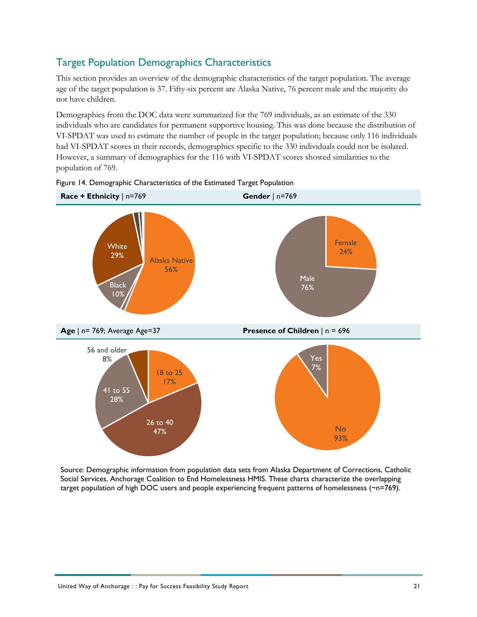# <span id="page-24-0"></span>Target Population Demographics Characteristics

This section provides an overview of the demographic characteristics of the target population. The average age of the target population is 37. Fifty-six percent are Alaska Native, 76 percent male and the majority do not have children.

Demographics from the DOC data were summarized for the 769 individuals, as an estimate of the 330 individuals who are candidates for permanent supportive housing. This was done because the distribution of VI-SPDAT was used to estimate the number of people in the target population; because only 116 individuals had VI-SPDAT scores in their records, demographics specific to the 330 individuals could not be isolated. However, a summary of demographics for the 116 with VI-SPDAT scores showed similarities to the population of 769.



<span id="page-24-1"></span>

Source: Demographic information from population data sets from Alaska Department of Corrections, Catholic Social Services, Anchorage Coalition to End Homelessness HMIS. These charts characterize the overlapping target population of high DOC users and people experiencing frequent patterns of homelessness (~n=769).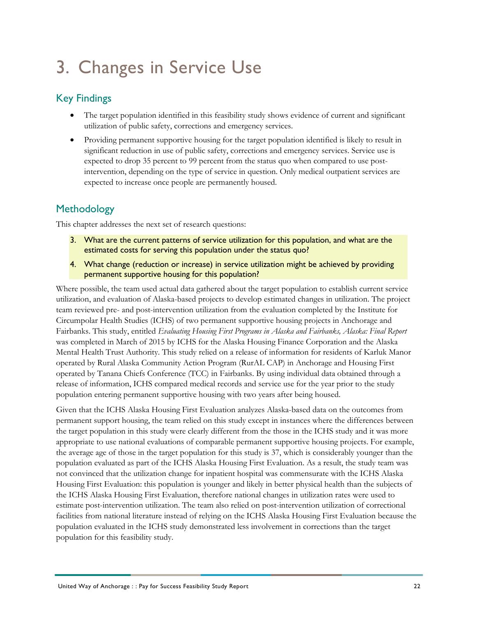# <span id="page-25-0"></span>3. Changes in Service Use

# <span id="page-25-1"></span>Key Findings

- The target population identified in this feasibility study shows evidence of current and significant utilization of public safety, corrections and emergency services.
- Providing permanent supportive housing for the target population identified is likely to result in significant reduction in use of public safety, corrections and emergency services. Service use is expected to drop 35 percent to 99 percent from the status quo when compared to use postintervention, depending on the type of service in question. Only medical outpatient services are expected to increase once people are permanently housed.

# <span id="page-25-2"></span>**Methodology**

This chapter addresses the next set of research questions:

- 3. What are the current patterns of service utilization for this population, and what are the estimated costs for serving this population under the status quo?
- 4. What change (reduction or increase) in service utilization might be achieved by providing permanent supportive housing for this population?

Where possible, the team used actual data gathered about the target population to establish current service utilization, and evaluation of Alaska-based projects to develop estimated changes in utilization. The project team reviewed pre- and post-intervention utilization from the evaluation completed by the Institute for Circumpolar Health Studies (ICHS) of two permanent supportive housing projects in Anchorage and Fairbanks. This study, entitled *Evaluating Housing First Programs in Alaska and Fairbanks, Alaska: Final Report*  was completed in March of 2015 by ICHS for the Alaska Housing Finance Corporation and the Alaska Mental Health Trust Authority. This study relied on a release of information for residents of Karluk Manor operated by Rural Alaska Community Action Program (RurAL CAP) in Anchorage and Housing First operated by Tanana Chiefs Conference (TCC) in Fairbanks. By using individual data obtained through a release of information, ICHS compared medical records and service use for the year prior to the study population entering permanent supportive housing with two years after being housed.

Given that the ICHS Alaska Housing First Evaluation analyzes Alaska-based data on the outcomes from permanent support housing, the team relied on this study except in instances where the differences between the target population in this study were clearly different from the those in the ICHS study and it was more appropriate to use national evaluations of comparable permanent supportive housing projects. For example, the average age of those in the target population for this study is 37, which is considerably younger than the population evaluated as part of the ICHS Alaska Housing First Evaluation. As a result, the study team was not convinced that the utilization change for inpatient hospital was commensurate with the ICHS Alaska Housing First Evaluation: this population is younger and likely in better physical health than the subjects of the ICHS Alaska Housing First Evaluation, therefore national changes in utilization rates were used to estimate post-intervention utilization. The team also relied on post-intervention utilization of correctional facilities from national literature instead of relying on the ICHS Alaska Housing First Evaluation because the population evaluated in the ICHS study demonstrated less involvement in corrections than the target population for this feasibility study.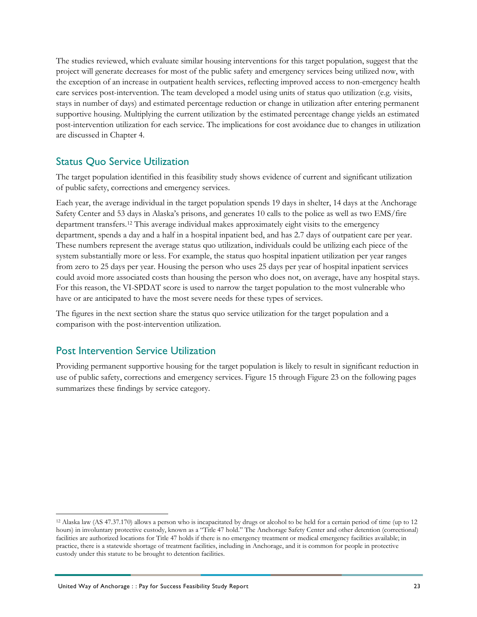The studies reviewed, which evaluate similar housing interventions for this target population, suggest that the project will generate decreases for most of the public safety and emergency services being utilized now, with the exception of an increase in outpatient health services, reflecting improved access to non-emergency health care services post-intervention. The team developed a model using units of status quo utilization (e.g. visits, stays in number of days) and estimated percentage reduction or change in utilization after entering permanent supportive housing. Multiplying the current utilization by the estimated percentage change yields an estimated post-intervention utilization for each service. The implications for cost avoidance due to changes in utilization are discussed in Chapter 4.

# <span id="page-26-0"></span>Status Quo Service Utilization

The target population identified in this feasibility study shows evidence of current and significant utilization of public safety, corrections and emergency services.

Each year, the average individual in the target population spends 19 days in shelter, 14 days at the Anchorage Safety Center and 53 days in Alaska's prisons, and generates 10 calls to the police as well as two EMS/fire department transfers.[12](#page-26-2) This average individual makes approximately eight visits to the emergency department, spends a day and a half in a hospital inpatient bed, and has 2.7 days of outpatient care per year. These numbers represent the average status quo utilization, individuals could be utilizing each piece of the system substantially more or less. For example, the status quo hospital inpatient utilization per year ranges from zero to 25 days per year. Housing the person who uses 25 days per year of hospital inpatient services could avoid more associated costs than housing the person who does not, on average, have any hospital stays. For this reason, the VI-SPDAT score is used to narrow the target population to the most vulnerable who have or are anticipated to have the most severe needs for these types of services.

The figures in the next section share the status quo service utilization for the target population and a comparison with the post-intervention utilization.

# <span id="page-26-1"></span>Post Intervention Service Utilization

Providing permanent supportive housing for the target population is likely to result in significant reduction in use of public safety, corrections and emergency services. [Figure 15](#page-27-1) through [Figure 23](#page-30-3) on the following pages summarizes these findings by service category.

<span id="page-26-2"></span> <sup>12</sup> Alaska law (AS 47.37.170) allows a person who is incapacitated by drugs or alcohol to be held for a certain period of time (up to 12 hours) in involuntary protective custody, known as a "Title 47 hold." The Anchorage Safety Center and other detention (correctional) facilities are authorized locations for Title 47 holds if there is no emergency treatment or medical emergency facilities available; in practice, there is a statewide shortage of treatment facilities, including in Anchorage, and it is common for people in protective custody under this statute to be brought to detention facilities.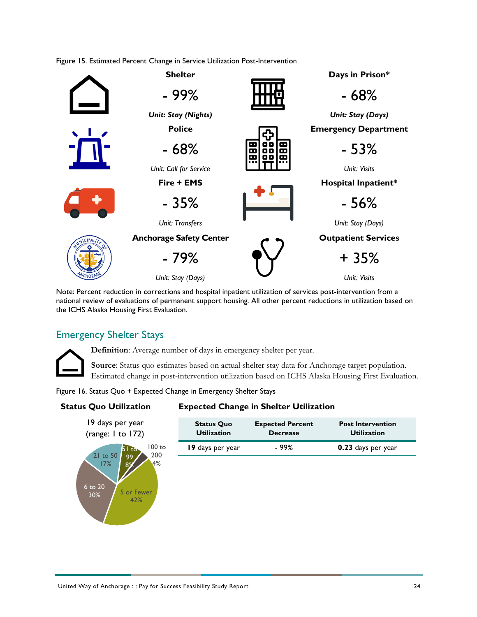<span id="page-27-1"></span>Figure 15. Estimated Percent Change in Service Utilization Post-Intervention



Note: Percent reduction in corrections and hospital inpatient utilization of services post-intervention from a national review of evaluations of permanent support housing. All other percent reductions in utilization based on the ICHS Alaska Housing First Evaluation.

# <span id="page-27-0"></span>Emergency Shelter Stays



**Source**: Status quo estimates based on actual shelter stay data for Anchorage target population. Estimated change in post-intervention utilization based on ICHS Alaska Housing First Evaluation.

<span id="page-27-2"></span>Figure 16. Status Quo + Expected Change in Emergency Shelter Stays

19 days per year (range: 1 to 172)

# **Status Quo Utilization Expected Change in Shelter Utilization**

| <b>Status Quo</b>  | <b>Expected Percent</b> | <b>Post Intervention</b> |
|--------------------|-------------------------|--------------------------|
| <b>Utilization</b> | <b>Decrease</b>         | <b>Utilization</b>       |
| 19 days per year   | - 99%                   |                          |

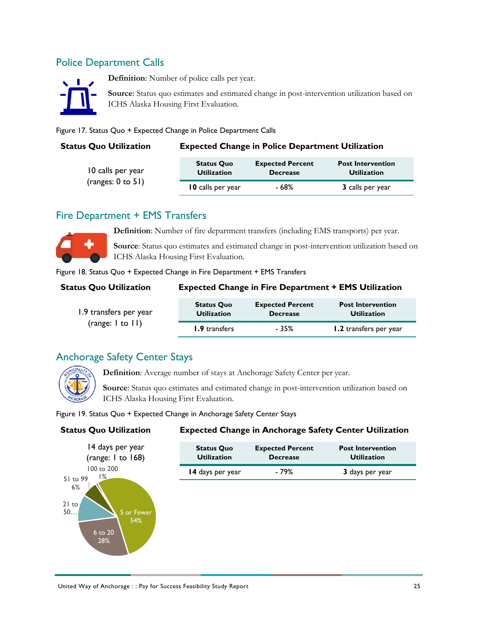# <span id="page-28-0"></span>Police Department Calls



**Definition**: Number of police calls per year.

**Source**: Status quo estimates and estimated change in post-intervention utilization based on ICHS Alaska Housing First Evaluation.

<span id="page-28-3"></span>Figure 17. Status Quo + Expected Change in Police Department Calls

### **Status Quo Utilization Expected Change in Police Department Utilization**

| 10 calls per year      | <b>Status Quo</b>  | <b>Expected Percent</b> | <b>Post Intervention</b> |
|------------------------|--------------------|-------------------------|--------------------------|
|                        | <b>Utilization</b> | <b>Decrease</b>         | <b>Utilization</b>       |
| (ranges: $0$ to $51$ ) | 10 calls per year  | - 68%                   | 3 calls per year         |

# <span id="page-28-1"></span>Fire Department + EMS Transfers



**Definition**: Number of fire department transfers (including EMS transports) per year.

**Source**: Status quo estimates and estimated change in post-intervention utilization based on ICHS Alaska Housing First Evaluation.

<span id="page-28-4"></span>Figure 18. Status Quo + Expected Change in Fire Department + EMS Transfers

# **Status Quo Utilization**

| <b>Expected Change in Fire Department + EMS Utilization</b> |  |
|-------------------------------------------------------------|--|
|-------------------------------------------------------------|--|

| 1.9 transfers per year   | <b>Status Quo</b>  | <b>Expected Percent</b> | <b>Post Intervention</b> |
|--------------------------|--------------------|-------------------------|--------------------------|
|                          | <b>Utilization</b> | <b>Decrease</b>         | <b>Utilization</b>       |
| (range: $ $ to $ $ $ $ ) | 1.9 transfers      | - 35%                   | 1.2 transfers per year   |

# <span id="page-28-2"></span>Anchorage Safety Center Stays



**Definition**: Average number of stays at Anchorage Safety Center per year.

**Source**: Status quo estimates and estimated change in post-intervention utilization based on ICHS Alaska Housing First Evaluation.

<span id="page-28-5"></span>Figure 19. Status Quo + Expected Change in Anchorage Safety Center Stays



# **Status Quo Utilization Expected Change in Anchorage Safety Center Utilization**

| <b>Status Quo</b>  | <b>Expected Percent</b> | <b>Post Intervention</b> |
|--------------------|-------------------------|--------------------------|
| <b>Utilization</b> | <b>Decrease</b>         | <b>Utilization</b>       |
| 14 days per year   | - 79%                   | 3 days per year          |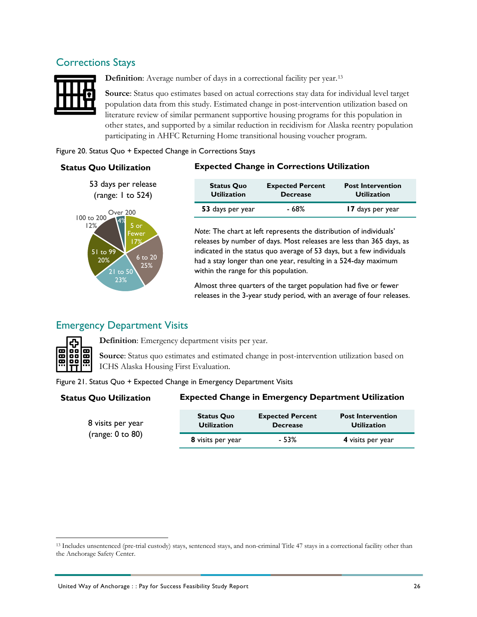# <span id="page-29-0"></span>Corrections Stays



**Definition**: Average number of days in a correctional facility per year.<sup>[13](#page-29-4)</sup>

**Source**: Status quo estimates based on actual corrections stay data for individual level target population data from this study. Estimated change in post-intervention utilization based on literature review of similar permanent supportive housing programs for this population in other states, and supported by a similar reduction in recidivism for Alaska reentry population participating in AHFC Returning Home transitional housing voucher program.

### <span id="page-29-2"></span>Figure 20. Status Quo + Expected Change in Corrections Stays



## **Status Quo Utilization Expected Change in Corrections Utilization**

| <b>Status Quo</b>  | <b>Expected Percent</b> | <b>Post Intervention</b> |
|--------------------|-------------------------|--------------------------|
| <b>Utilization</b> | <b>Decrease</b>         | <b>Utilization</b>       |
| 53 days per year   | - 68%                   | 17 days per year         |

*Note*: The chart at left represents the distribution of individuals' releases by number of days. Most releases are less than 365 days, as indicated in the status quo average of 53 days, but a few individuals had a stay longer than one year, resulting in a 524-day maximum within the range for this population.

Almost three quarters of the target population had five or fewer releases in the 3-year study period, with an average of four releases.

# <span id="page-29-1"></span>Emergency Department Visits



**Definition**: Emergency department visits per year.

**Source**: Status quo estimates and estimated change in post-intervention utilization based on ICHS Alaska Housing First Evaluation.

### <span id="page-29-3"></span>Figure 21. Status Quo + Expected Change in Emergency Department Visits

### **Status Quo Utilization Expected Change in Emergency Department Utilization**

| 8 visits per year<br>(range: $0$ to $80$ ) | <b>Status Quo</b><br><b>Utilization</b> | <b>Expected Percent</b><br><b>Decrease</b> | <b>Post Intervention</b><br><b>Utilization</b> |
|--------------------------------------------|-----------------------------------------|--------------------------------------------|------------------------------------------------|
|                                            | 8 visits per year                       | - 53%                                      | 4 visits per year                              |

<span id="page-29-4"></span> <sup>13</sup> Includes unsentenced (pre-trial custody) stays, sentenced stays, and non-criminal Title 47 stays in a correctional facility other than the Anchorage Safety Center.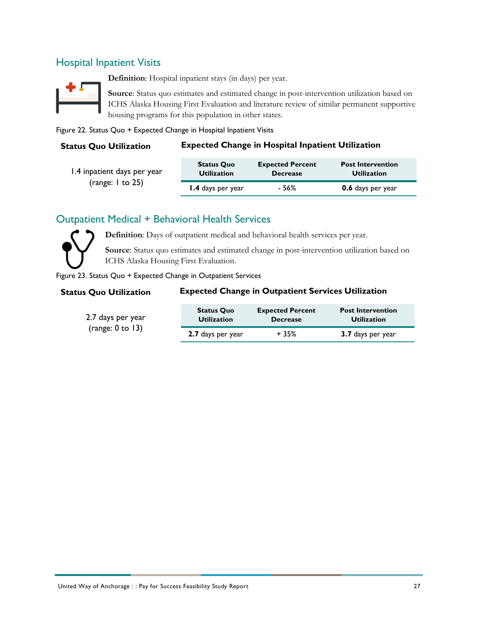# <span id="page-30-0"></span>Hospital Inpatient Visits



**Definition**: Hospital inpatient stays (in days) per year.

**Source**: Status quo estimates and estimated change in post-intervention utilization based on ICHS Alaska Housing First Evaluation and literature review of similar permanent supportive housing programs for this population in other states.

<span id="page-30-2"></span>Figure 22. Status Quo + Expected Change in Hospital Inpatient Visits

## **Status Quo Utilization Expected Change in Hospital Inpatient Utilization**

| 1.4 inpatient days per year | <b>Status Quo</b>  | <b>Expected Percent</b> | <b>Post Intervention</b> |
|-----------------------------|--------------------|-------------------------|--------------------------|
|                             | <b>Utilization</b> | <b>Decrease</b>         | <b>Utilization</b>       |
| (range: $1$ to 25)          | 1.4 days per year  | - 56%                   | 0.6 days per year        |

# <span id="page-30-1"></span>Outpatient Medical + Behavioral Health Services



**Definition**: Days of outpatient medical and behavioral health services per year.

**Source**: Status quo estimates and estimated change in post-intervention utilization based on ICHS Alaska Housing First Evaluation.

<span id="page-30-3"></span>Figure 23. Status Quo + Expected Change in Outpatient Services

# **Status Quo Utilization Expected Change in Outpatient Services Utilization**

| 2.7 days per year<br>(range: $0$ to 13) | <b>Status Quo</b><br><b>Utilization</b> | <b>Expected Percent</b><br><b>Decrease</b> | <b>Post Intervention</b><br><b>Utilization</b> |
|-----------------------------------------|-----------------------------------------|--------------------------------------------|------------------------------------------------|
|                                         | 2.7 days per year                       | $+35%$                                     | 3.7 days per year                              |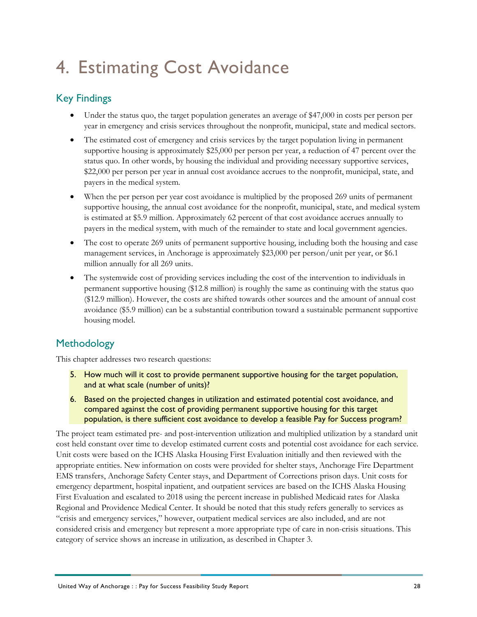# <span id="page-31-0"></span>4. Estimating Cost Avoidance

# <span id="page-31-1"></span>Key Findings

- Under the status quo, the target population generates an average of \$47,000 in costs per person per year in emergency and crisis services throughout the nonprofit, municipal, state and medical sectors.
- The estimated cost of emergency and crisis services by the target population living in permanent supportive housing is approximately \$25,000 per person per year, a reduction of 47 percent over the status quo. In other words, by housing the individual and providing necessary supportive services, \$22,000 per person per year in annual cost avoidance accrues to the nonprofit, municipal, state, and payers in the medical system.
- When the per person per year cost avoidance is multiplied by the proposed 269 units of permanent supportive housing, the annual cost avoidance for the nonprofit, municipal, state, and medical system is estimated at \$5.9 million. Approximately 62 percent of that cost avoidance accrues annually to payers in the medical system, with much of the remainder to state and local government agencies.
- The cost to operate 269 units of permanent supportive housing, including both the housing and case management services, in Anchorage is approximately \$23,000 per person/unit per year, or \$6.1 million annually for all 269 units.
- The systemwide cost of providing services including the cost of the intervention to individuals in permanent supportive housing (\$12.8 million) is roughly the same as continuing with the status quo (\$12.9 million). However, the costs are shifted towards other sources and the amount of annual cost avoidance (\$5.9 million) can be a substantial contribution toward a sustainable permanent supportive housing model.

# <span id="page-31-2"></span>**Methodology**

This chapter addresses two research questions:

- 5. How much will it cost to provide permanent supportive housing for the target population, and at what scale (number of units)?
- 6. Based on the projected changes in utilization and estimated potential cost avoidance, and compared against the cost of providing permanent supportive housing for this target population, is there sufficient cost avoidance to develop a feasible Pay for Success program?

The project team estimated pre- and post-intervention utilization and multiplied utilization by a standard unit cost held constant over time to develop estimated current costs and potential cost avoidance for each service. Unit costs were based on the ICHS Alaska Housing First Evaluation initially and then reviewed with the appropriate entities. New information on costs were provided for shelter stays, Anchorage Fire Department EMS transfers, Anchorage Safety Center stays, and Department of Corrections prison days. Unit costs for emergency department, hospital inpatient, and outpatient services are based on the ICHS Alaska Housing First Evaluation and escalated to 2018 using the percent increase in published Medicaid rates for Alaska Regional and Providence Medical Center. It should be noted that this study refers generally to services as "crisis and emergency services," however, outpatient medical services are also included, and are not considered crisis and emergency but represent a more appropriate type of care in non-crisis situations. This category of service shows an increase in utilization, as described in Chapter 3.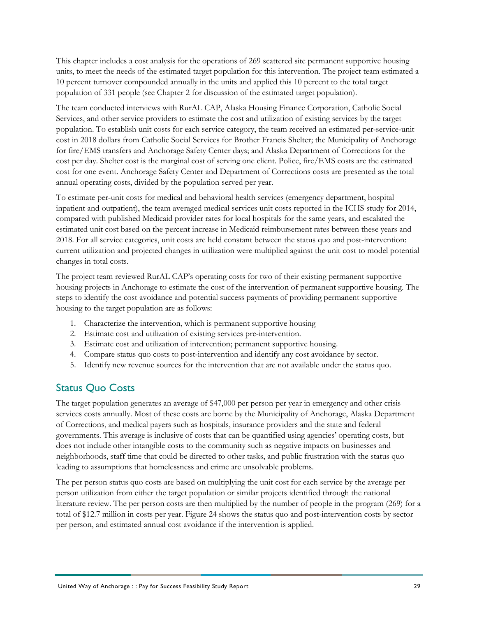This chapter includes a cost analysis for the operations of 269 scattered site permanent supportive housing units, to meet the needs of the estimated target population for this intervention. The project team estimated a 10 percent turnover compounded annually in the units and applied this 10 percent to the total target population of 331 people (see Chapter 2 for discussion of the estimated target population).

The team conducted interviews with RurAL CAP, Alaska Housing Finance Corporation, Catholic Social Services, and other service providers to estimate the cost and utilization of existing services by the target population. To establish unit costs for each service category, the team received an estimated per-service-unit cost in 2018 dollars from Catholic Social Services for Brother Francis Shelter; the Municipality of Anchorage for fire/EMS transfers and Anchorage Safety Center days; and Alaska Department of Corrections for the cost per day. Shelter cost is the marginal cost of serving one client. Police, fire/EMS costs are the estimated cost for one event. Anchorage Safety Center and Department of Corrections costs are presented as the total annual operating costs, divided by the population served per year.

To estimate per-unit costs for medical and behavioral health services (emergency department, hospital inpatient and outpatient), the team averaged medical services unit costs reported in the ICHS study for 2014, compared with published Medicaid provider rates for local hospitals for the same years, and escalated the estimated unit cost based on the percent increase in Medicaid reimbursement rates between these years and 2018. For all service categories, unit costs are held constant between the status quo and post-intervention: current utilization and projected changes in utilization were multiplied against the unit cost to model potential changes in total costs.

The project team reviewed RurAL CAP's operating costs for two of their existing permanent supportive housing projects in Anchorage to estimate the cost of the intervention of permanent supportive housing. The steps to identify the cost avoidance and potential success payments of providing permanent supportive housing to the target population are as follows:

- 1. Characterize the intervention, which is permanent supportive housing
- 2. Estimate cost and utilization of existing services pre-intervention.
- 3. Estimate cost and utilization of intervention; permanent supportive housing.
- 4. Compare status quo costs to post-intervention and identify any cost avoidance by sector.
- 5. Identify new revenue sources for the intervention that are not available under the status quo.

# <span id="page-32-0"></span>Status Quo Costs

The target population generates an average of \$47,000 per person per year in emergency and other crisis services costs annually. Most of these costs are borne by the Municipality of Anchorage, Alaska Department of Corrections, and medical payers such as hospitals, insurance providers and the state and federal governments. This average is inclusive of costs that can be quantified using agencies' operating costs, but does not include other intangible costs to the community such as negative impacts on businesses and neighborhoods, staff time that could be directed to other tasks, and public frustration with the status quo leading to assumptions that homelessness and crime are unsolvable problems.

The per person status quo costs are based on multiplying the unit cost for each service by the average per person utilization from either the target population or similar projects identified through the national literature review. The per person costs are then multiplied by the number of people in the program (269) for a total of \$12.7 million in costs per year. [Figure 24](#page-33-2) shows the status quo and post-intervention costs by sector per person, and estimated annual cost avoidance if the intervention is applied.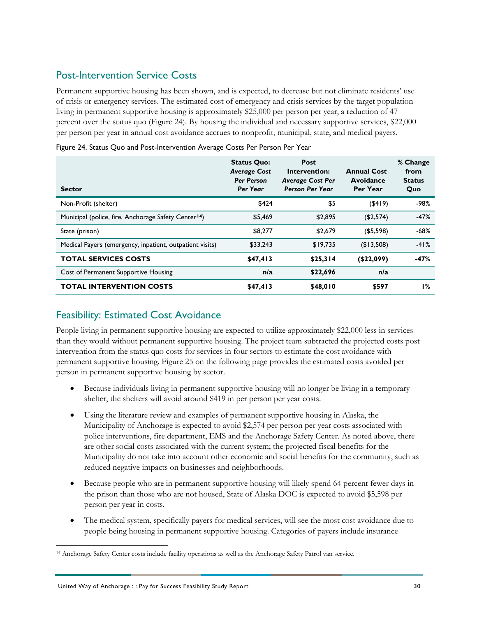# <span id="page-33-0"></span>Post-Intervention Service Costs

Permanent supportive housing has been shown, and is expected, to decrease but not eliminate residents' use of crisis or emergency services. The estimated cost of emergency and crisis services by the target population living in permanent supportive housing is approximately \$25,000 per person per year, a reduction of 47 percent over the status quo [\(Figure 24\)](#page-33-2). By housing the individual and necessary supportive services, \$22,000 per person per year in annual cost avoidance accrues to nonprofit, municipal, state, and medical payers.

| <b>Sector</b>                                                    | <b>Status Quo:</b><br><b>Average Cost</b><br><b>Per Person</b><br>Per Year | <b>Post</b><br>Intervention:<br><b>Average Cost Per</b><br><b>Person Per Year</b> | <b>Annual Cost</b><br>Avoidance<br>Per Year | % Change<br>from<br><b>Status</b><br>Quo |
|------------------------------------------------------------------|----------------------------------------------------------------------------|-----------------------------------------------------------------------------------|---------------------------------------------|------------------------------------------|
| Non-Profit (shelter)                                             | \$424                                                                      | \$5                                                                               | $($ \$419)                                  | $-98%$                                   |
| Municipal (police, fire, Anchorage Safety Center <sup>14</sup> ) | \$5,469                                                                    | \$2,895                                                                           | (\$2,574)                                   | $-47%$                                   |
| State (prison)                                                   | \$8,277                                                                    | \$2,679                                                                           | ( \$5,598)                                  | $-68%$                                   |
| Medical Payers (emergency, inpatient, outpatient visits)         | \$33,243                                                                   | \$19.735                                                                          | ( \$13,508)                                 | $-41%$                                   |
| <b>TOTAL SERVICES COSTS</b>                                      | \$47,413                                                                   | \$25,314                                                                          | ( \$22,099)                                 | $-47%$                                   |
| Cost of Permanent Supportive Housing                             | n/a                                                                        | \$22,696                                                                          | n/a                                         |                                          |
| <b>TOTAL INTERVENTION COSTS</b>                                  | \$47,413                                                                   | \$48,010                                                                          | \$597                                       | <b>1%</b>                                |

<span id="page-33-2"></span>Figure 24. Status Quo and Post-Intervention Average Costs Per Person Per Year

# <span id="page-33-1"></span>Feasibility: Estimated Cost Avoidance

People living in permanent supportive housing are expected to utilize approximately \$22,000 less in services than they would without permanent supportive housing. The project team subtracted the projected costs post intervention from the status quo costs for services in four sectors to estimate the cost avoidance with permanent supportive housing. [Figure 25](#page-34-0) on the following page provides the estimated costs avoided per person in permanent supportive housing by sector.

- Because individuals living in permanent supportive housing will no longer be living in a temporary shelter, the shelters will avoid around \$419 in per person per year costs.
- Using the literature review and examples of permanent supportive housing in Alaska, the Municipality of Anchorage is expected to avoid \$2,574 per person per year costs associated with police interventions, fire department, EMS and the Anchorage Safety Center. As noted above, there are other social costs associated with the current system; the projected fiscal benefits for the Municipality do not take into account other economic and social benefits for the community, such as reduced negative impacts on businesses and neighborhoods.
- Because people who are in permanent supportive housing will likely spend 64 percent fewer days in the prison than those who are not housed, State of Alaska DOC is expected to avoid \$5,598 per person per year in costs.
- The medical system, specifically payers for medical services, will see the most cost avoidance due to people being housing in permanent supportive housing. Categories of payers include insurance

<span id="page-33-3"></span> <sup>14</sup> Anchorage Safety Center costs include facility operations as well as the Anchorage Safety Patrol van service.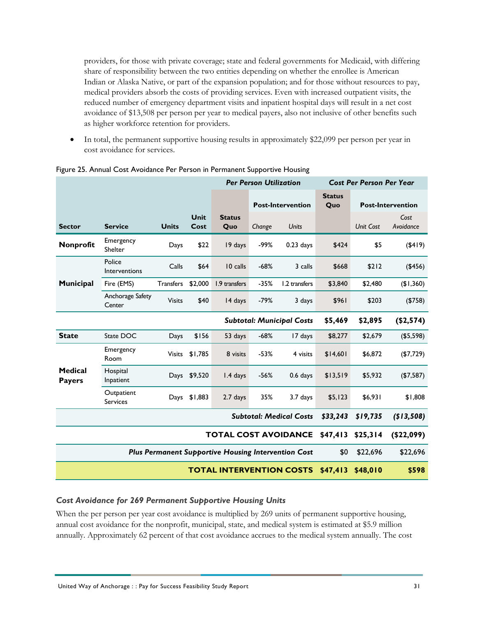providers, for those with private coverage; state and federal governments for Medicaid, with differing share of responsibility between the two entities depending on whether the enrollee is American Indian or Alaska Native, or part of the expansion population; and for those without resources to pay, medical providers absorb the costs of providing services. Even with increased outpatient visits, the reduced number of emergency department visits and inpatient hospital days will result in a net cost avoidance of \$13,508 per person per year to medical payers, also not inclusive of other benefits such as higher workforce retention for providers.

In total, the permanent supportive housing results in approximately \$22,099 per person per year in cost avoidance for services.

|                                 |                               |                  |              | <b>Per Person Utilization</b>                       |        |                                  | <b>Cost Per Person Per Year</b> |                  |                          |
|---------------------------------|-------------------------------|------------------|--------------|-----------------------------------------------------|--------|----------------------------------|---------------------------------|------------------|--------------------------|
|                                 |                               |                  |              |                                                     |        | <b>Post-Intervention</b>         | <b>Status</b><br>Quo            |                  | <b>Post-Intervention</b> |
| <b>Sector</b>                   | <b>Service</b>                | <b>Units</b>     | Unit<br>Cost | <b>Status</b><br>Quo                                | Change | <b>Units</b>                     |                                 | <b>Unit Cost</b> | Cost<br>Avoidance        |
| Nonprofit                       | Emergency<br>Shelter          | Days             | \$22         | 19 days                                             | -99%   | $0.23$ days                      | \$424                           | \$5              | $($ \$419)               |
|                                 | Police<br>Interventions       | Calls            | \$64         | 10 calls                                            | $-68%$ | 3 calls                          | \$668                           | \$212            | (\$456)                  |
| <b>Municipal</b>                | Fire (EMS)                    | <b>Transfers</b> | \$2,000      | 1.9 transfers                                       | $-35%$ | 1.2 transfers                    | \$3,840                         | \$2,480          | (\$1,360)                |
|                                 | Anchorage Safety<br>Center    | <b>Visits</b>    | \$40         | 14 days                                             | $-79%$ | 3 days                           | \$961                           | \$203            | (\$758)                  |
|                                 |                               |                  |              |                                                     |        | <b>Subtotal: Municipal Costs</b> | \$5,469                         | \$2,895          | (\$2,574)                |
| <b>State</b>                    | State DOC                     | Days             | \$156        | 53 days                                             | $-68%$ | 17 days                          | \$8,277                         | \$2,679          | ( \$5,598)               |
|                                 | Emergency<br>Room             | <b>Visits</b>    | \$1,785      | 8 visits                                            | $-53%$ | 4 visits                         | \$14,601                        | \$6,872          | (\$7,729)                |
| <b>Medical</b><br><b>Payers</b> | Hospital<br>Inpatient         | Days             | \$9,520      | 1.4 days                                            | $-56%$ | 0.6 days                         | \$13,519                        | \$5,932          | ( \$7,587)               |
|                                 | Outpatient<br><b>Services</b> | Days             | \$1,883      | $2.7$ days                                          | 35%    | 3.7 days                         | \$5,123                         | \$6,931          | \$1,808                  |
| <b>Subtotal: Medical Costs</b>  |                               |                  |              |                                                     |        |                                  | \$33,243                        | \$19,735         | (\$13,508)               |
| <b>TOTAL COST AVOIDANCE</b>     |                               |                  |              |                                                     |        |                                  | \$47,413                        | \$25,314         | (\$22,099)               |
|                                 |                               |                  |              | Plus Permanent Supportive Housing Intervention Cost |        |                                  | \$0                             | \$22,696         | \$22,696                 |
| <b>TOTAL INTERVENTION COSTS</b> |                               |                  |              |                                                     |        | \$47,413                         | \$48,010                        | \$598            |                          |

### <span id="page-34-0"></span>Figure 25. Annual Cost Avoidance Per Person in Permanent Supportive Housing

### *Cost Avoidance for 269 Permanent Supportive Housing Units*

When the per person per year cost avoidance is multiplied by 269 units of permanent supportive housing, annual cost avoidance for the nonprofit, municipal, state, and medical system is estimated at \$5.9 million annually. Approximately 62 percent of that cost avoidance accrues to the medical system annually. The cost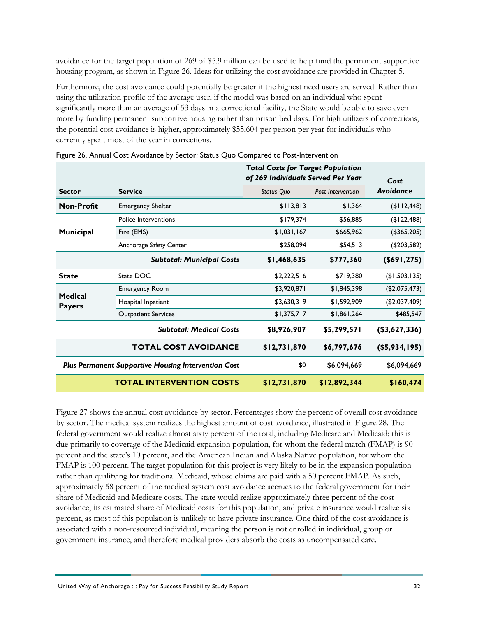avoidance for the target population of 269 of \$5.9 million can be used to help fund the permanent supportive housing program, as shown in [Figure 26.](#page-35-0) Ideas for utilizing the cost avoidance are provided in Chapter 5.

Furthermore, the cost avoidance could potentially be greater if the highest need users are served. Rather than using the utilization profile of the average user, if the model was based on an individual who spent significantly more than an average of 53 days in a correctional facility, the State would be able to save even more by funding permanent supportive housing rather than prison bed days. For high utilizers of corrections, the potential cost avoidance is higher, approximately \$55,604 per person per year for individuals who currently spent most of the year in corrections.

|                                 |                                                            | <b>Total Costs for Target Population</b><br>of 269 Individuals Served Per Year | Cost                     |                  |
|---------------------------------|------------------------------------------------------------|--------------------------------------------------------------------------------|--------------------------|------------------|
| <b>Sector</b>                   | <b>Service</b>                                             | Status Quo                                                                     | <b>Post Intervention</b> | Avoidance        |
| Non-Profit                      | <b>Emergency Shelter</b>                                   | \$113,813                                                                      | \$1,364                  | (\$I12,448)      |
|                                 | Police Interventions                                       | \$179,374                                                                      | \$56,885                 | (\$122,488)      |
| Municipal                       | Fire (EMS)                                                 | \$1,031,167                                                                    | \$665,962                | (\$365,205)      |
|                                 | Anchorage Safety Center                                    | \$258,094                                                                      | \$54,513                 | (\$203,582)      |
|                                 | <b>Subtotal: Municipal Costs</b>                           | \$1,468,635                                                                    | \$777,360                | (\$691, 275)     |
| <b>State</b>                    | State DOC                                                  | \$2,222,516                                                                    | \$719,380                | (\$1,503,135)    |
|                                 | <b>Emergency Room</b>                                      | \$3,920,871                                                                    | \$1,845,398              | (\$2,075,473)    |
| <b>Medical</b><br><b>Payers</b> | Hospital Inpatient                                         | \$3,630,319                                                                    | \$1,592,909              | (\$2,037,409)    |
|                                 | <b>Outpatient Services</b>                                 | \$1,375,717                                                                    | \$1,861,264              | \$485,547        |
|                                 | <b>Subtotal: Medical Costs</b>                             | \$8,926,907                                                                    | \$5,299,571              | (\$3,627,336)    |
|                                 | <b>TOTAL COST AVOIDANCE</b>                                | \$12,731,870                                                                   | \$6,797,676              | $($ \$5,934,195) |
|                                 | <b>Plus Permanent Supportive Housing Intervention Cost</b> | \$0                                                                            | \$6,094,669              | \$6,094,669      |
|                                 | <b>TOTAL INTERVENTION COSTS</b>                            | \$12,731,870                                                                   | \$12,892,344             | \$160,474        |

<span id="page-35-0"></span>

|  |  |  |  |  | Figure 26. Annual Cost Avoidance by Sector: Status Quo Compared to Post-Intervention |  |
|--|--|--|--|--|--------------------------------------------------------------------------------------|--|
|  |  |  |  |  |                                                                                      |  |

[Figure 27](#page-36-1) shows the annual cost avoidance by sector. Percentages show the percent of overall cost avoidance by sector. The medical system realizes the highest amount of cost avoidance, illustrated in [Figure 28.](#page-36-2) The federal government would realize almost sixty percent of the total, including Medicare and Medicaid; this is due primarily to coverage of the Medicaid expansion population, for whom the federal match (FMAP) is 90 percent and the state's 10 percent, and the American Indian and Alaska Native population, for whom the FMAP is 100 percent. The target population for this project is very likely to be in the expansion population rather than qualifying for traditional Medicaid, whose claims are paid with a 50 percent FMAP. As such, approximately 58 percent of the medical system cost avoidance accrues to the federal government for their share of Medicaid and Medicare costs. The state would realize approximately three percent of the cost avoidance, its estimated share of Medicaid costs for this population, and private insurance would realize six percent, as most of this population is unlikely to have private insurance. One third of the cost avoidance is associated with a non-resourced individual, meaning the person is not enrolled in individual, group or government insurance, and therefore medical providers absorb the costs as uncompensated care.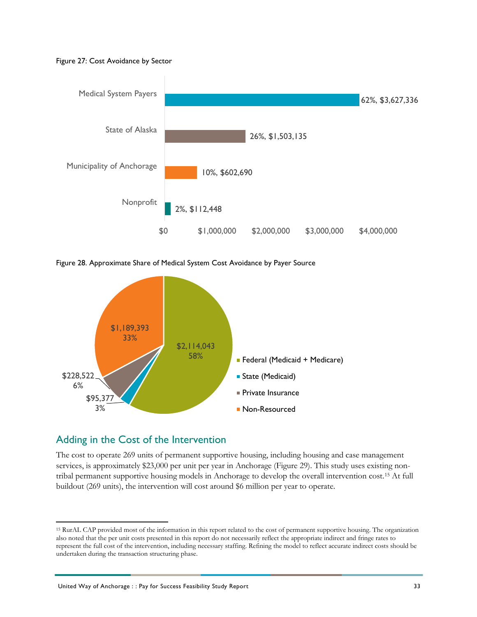<span id="page-36-1"></span>



<span id="page-36-2"></span>Figure 28. Approximate Share of Medical System Cost Avoidance by Payer Source



# <span id="page-36-0"></span>Adding in the Cost of the Intervention

The cost to operate 269 units of permanent supportive housing, including housing and case management services, is approximately \$23,000 per unit per year in Anchorage [\(Figure 29\)](#page-37-0). This study uses existing nontribal permanent supportive housing models in Anchorage to develop the overall intervention cost.[15](#page-36-3) At full buildout (269 units), the intervention will cost around \$6 million per year to operate.

<span id="page-36-3"></span> <sup>15</sup> RurAL CAP provided most of the information in this report related to the cost of permanent supportive housing. The organization also noted that the per unit costs presented in this report do not necessarily reflect the appropriate indirect and fringe rates to represent the full cost of the intervention, including necessary staffing. Refining the model to reflect accurate indirect costs should be undertaken during the transaction structuring phase.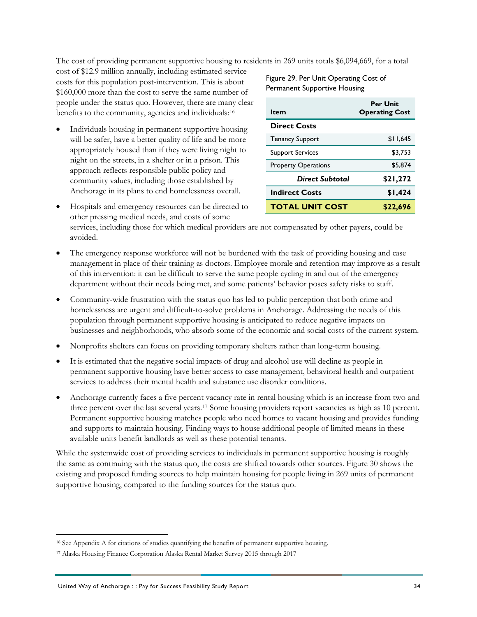The cost of providing permanent supportive housing to residents in 269 units totals \$6,094,669, for a total

cost of \$12.9 million annually, including estimated service costs for this population post-intervention. This is about \$160,000 more than the cost to serve the same number of people under the status quo. However, there are many clear benefits to the community, agencies and individuals:[16](#page-37-1)

• Individuals housing in permanent supportive housing will be safer, have a better quality of life and be more appropriately housed than if they were living night to night on the streets, in a shelter or in a prison. This approach reflects responsible public policy and community values, including those established by Anchorage in its plans to end homelessness overall.

<span id="page-37-0"></span>Figure 29. Per Unit Operating Cost of Permanent Supportive Housing

| ltem                       | <b>Per Unit</b><br><b>Operating Cost</b> |
|----------------------------|------------------------------------------|
| <b>Direct Costs</b>        |                                          |
| <b>Tenancy Support</b>     | \$11.645                                 |
| <b>Support Services</b>    | \$3.753                                  |
| <b>Property Operations</b> | \$5.874                                  |
| Direct Subtotal            | \$21,272                                 |
| <b>Indirect Costs</b>      | \$1,424                                  |
| <b>TOTAL UNIT COST</b>     | \$22,696                                 |

• Hospitals and emergency resources can be directed to other pressing medical needs, and costs of some

services, including those for which medical providers are not compensated by other payers, could be avoided.

- The emergency response workforce will not be burdened with the task of providing housing and case management in place of their training as doctors. Employee morale and retention may improve as a result of this intervention: it can be difficult to serve the same people cycling in and out of the emergency department without their needs being met, and some patients' behavior poses safety risks to staff.
- Community-wide frustration with the status quo has led to public perception that both crime and homelessness are urgent and difficult-to-solve problems in Anchorage. Addressing the needs of this population through permanent supportive housing is anticipated to reduce negative impacts on businesses and neighborhoods, who absorb some of the economic and social costs of the current system.
- Nonprofits shelters can focus on providing temporary shelters rather than long-term housing.
- It is estimated that the negative social impacts of drug and alcohol use will decline as people in permanent supportive housing have better access to case management, behavioral health and outpatient services to address their mental health and substance use disorder conditions.
- Anchorage currently faces a five percent vacancy rate in rental housing which is an increase from two and three percent over the last several years.[17](#page-37-2) Some housing providers report vacancies as high as 10 percent. Permanent supportive housing matches people who need homes to vacant housing and provides funding and supports to maintain housing. Finding ways to house additional people of limited means in these available units benefit landlords as well as these potential tenants.

While the systemwide cost of providing services to individuals in permanent supportive housing is roughly the same as continuing with the status quo, the costs are shifted towards other sources. [Figure 30](#page-38-0) shows the existing and proposed funding sources to help maintain housing for people living in 269 units of permanent supportive housing, compared to the funding sources for the status quo.

<span id="page-37-1"></span><sup>&</sup>lt;sup>16</sup> See Appendix A for citations of studies quantifying the benefits of permanent supportive housing.

<span id="page-37-2"></span><sup>17</sup> Alaska Housing Finance Corporation Alaska Rental Market Survey 2015 through 2017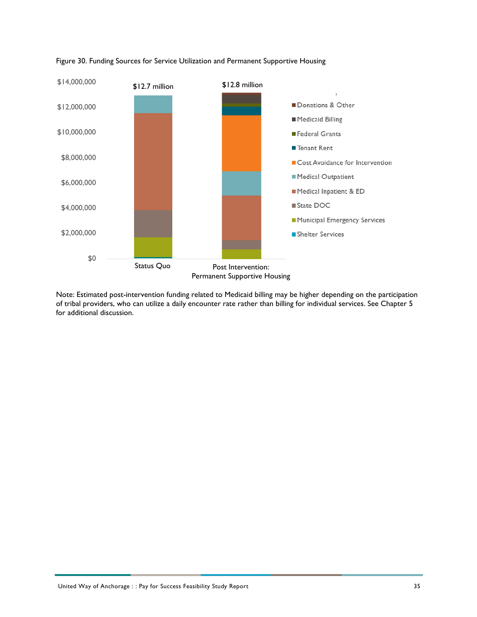

### <span id="page-38-0"></span>Figure 30. Funding Sources for Service Utilization and Permanent Supportive Housing

Note: Estimated post-intervention funding related to Medicaid billing may be higher depending on the participation of tribal providers, who can utilize a daily encounter rate rather than billing for individual services. See Chapter 5 for additional discussion.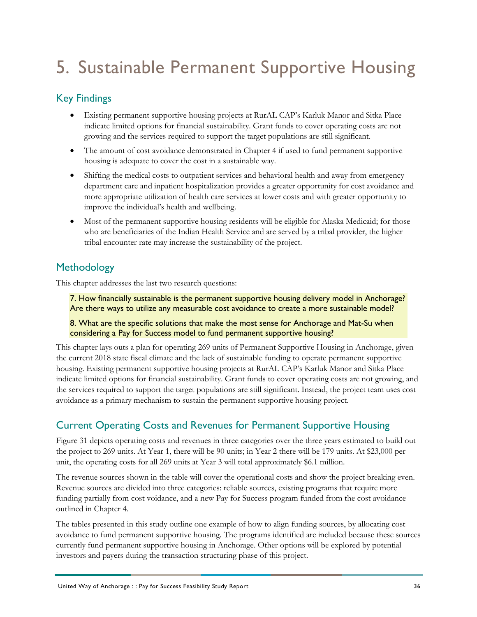# <span id="page-39-0"></span>5. Sustainable Permanent Supportive Housing

# <span id="page-39-1"></span>Key Findings

- Existing permanent supportive housing projects at RurAL CAP's Karluk Manor and Sitka Place indicate limited options for financial sustainability. Grant funds to cover operating costs are not growing and the services required to support the target populations are still significant.
- The amount of cost avoidance demonstrated in Chapter 4 if used to fund permanent supportive housing is adequate to cover the cost in a sustainable way.
- Shifting the medical costs to outpatient services and behavioral health and away from emergency department care and inpatient hospitalization provides a greater opportunity for cost avoidance and more appropriate utilization of health care services at lower costs and with greater opportunity to improve the individual's health and wellbeing.
- Most of the permanent supportive housing residents will be eligible for Alaska Medicaid; for those who are beneficiaries of the Indian Health Service and are served by a tribal provider, the higher tribal encounter rate may increase the sustainability of the project.

# <span id="page-39-2"></span>Methodology

This chapter addresses the last two research questions:

7. How financially sustainable is the permanent supportive housing delivery model in Anchorage? Are there ways to utilize any measurable cost avoidance to create a more sustainable model?

8. What are the specific solutions that make the most sense for Anchorage and Mat-Su when considering a Pay for Success model to fund permanent supportive housing?

This chapter lays outs a plan for operating 269 units of Permanent Supportive Housing in Anchorage, given the current 2018 state fiscal climate and the lack of sustainable funding to operate permanent supportive housing. Existing permanent supportive housing projects at RurAL CAP's Karluk Manor and Sitka Place indicate limited options for financial sustainability. Grant funds to cover operating costs are not growing, and the services required to support the target populations are still significant. Instead, the project team uses cost avoidance as a primary mechanism to sustain the permanent supportive housing project.

# <span id="page-39-3"></span>Current Operating Costs and Revenues for Permanent Supportive Housing

[Figure 31](#page-40-0) depicts operating costs and revenues in three categories over the three years estimated to build out the project to 269 units. At Year 1, there will be 90 units; in Year 2 there will be 179 units. At \$23,000 per unit, the operating costs for all 269 units at Year 3 will total approximately \$6.1 million.

The revenue sources shown in the table will cover the operational costs and show the project breaking even. Revenue sources are divided into three categories: reliable sources, existing programs that require more funding partially from cost voidance, and a new Pay for Success program funded from the cost avoidance outlined in Chapter 4.

The tables presented in this study outline one example of how to align funding sources, by allocating cost avoidance to fund permanent supportive housing. The programs identified are included because these sources currently fund permanent supportive housing in Anchorage. Other options will be explored by potential investors and payers during the transaction structuring phase of this project.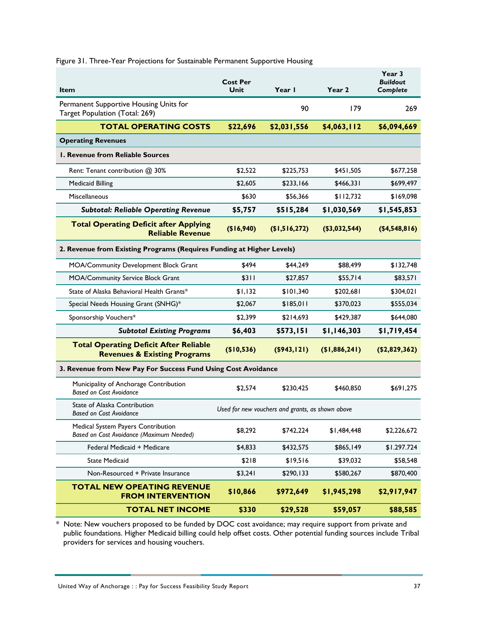| <b>Item</b>                                                                              | <b>Cost Per</b><br>Unit                          | Year I         | Year 2        | Year 3<br><b>Buildout</b><br>Complete |  |  |  |  |  |
|------------------------------------------------------------------------------------------|--------------------------------------------------|----------------|---------------|---------------------------------------|--|--|--|--|--|
| Permanent Supportive Housing Units for<br>Target Population (Total: 269)                 |                                                  | 90             | 179           | 269                                   |  |  |  |  |  |
| <b>TOTAL OPERATING COSTS</b>                                                             | \$22,696                                         | \$2,031,556    | \$4,063,112   | \$6,094,669                           |  |  |  |  |  |
| <b>Operating Revenues</b>                                                                |                                                  |                |               |                                       |  |  |  |  |  |
| <b>I. Revenue from Reliable Sources</b>                                                  |                                                  |                |               |                                       |  |  |  |  |  |
| Rent: Tenant contribution @ 30%                                                          | \$2,522                                          | \$225,753      | \$451,505     | \$677,258                             |  |  |  |  |  |
| <b>Medicaid Billing</b>                                                                  | \$2.605                                          | \$233,166      | \$466,331     | \$699,497                             |  |  |  |  |  |
| <b>Miscellaneous</b>                                                                     | \$630                                            | \$56,366       | \$112,732     | \$169,098                             |  |  |  |  |  |
| <b>Subtotal: Reliable Operating Revenue</b>                                              | \$5,757                                          | \$515,284      | \$1,030,569   | \$1,545,853                           |  |  |  |  |  |
| <b>Total Operating Deficit after Applying</b><br><b>Reliable Revenue</b>                 | (\$16,940)                                       | \$1,516,272    | (\$3,032,544) | ( \$4,548,816)                        |  |  |  |  |  |
| 2. Revenue from Existing Programs (Requires Funding at Higher Levels)                    |                                                  |                |               |                                       |  |  |  |  |  |
| MOA/Community Development Block Grant                                                    | \$494                                            | \$44,249       | \$88,499      | \$132,748                             |  |  |  |  |  |
| <b>MOA/Community Service Block Grant</b>                                                 | \$311                                            | \$27,857       | \$55,714      | \$83,571                              |  |  |  |  |  |
| State of Alaska Behavioral Health Grants*                                                | \$1,132                                          | \$101,340      | \$202,681     | \$304,021                             |  |  |  |  |  |
| Special Needs Housing Grant (SNHG)*                                                      | \$2,067                                          | \$185,011      | \$370,023     | \$555,034                             |  |  |  |  |  |
| Sponsorship Vouchers*                                                                    | \$2,399                                          | \$214,693      | \$429,387     | \$644,080                             |  |  |  |  |  |
| <b>Subtotal Existing Programs</b>                                                        | \$6,403                                          | \$573,151      | \$1,146,303   | \$1,719,454                           |  |  |  |  |  |
| <b>Total Operating Deficit After Reliable</b><br><b>Revenues &amp; Existing Programs</b> | (\$10,536)                                       | $($ \$943,121) | (\$1,886,241) | (\$2,829,362)                         |  |  |  |  |  |
| 3. Revenue from New Pay For Success Fund Using Cost Avoidance                            |                                                  |                |               |                                       |  |  |  |  |  |
| Municipality of Anchorage Contribution<br><b>Based on Cost Avoidance</b>                 | \$2,574                                          | \$230,425      | \$460,850     | \$691,275                             |  |  |  |  |  |
| State of Alaska Contribution<br><b>Based on Cost Avoidance</b>                           | Used for new vouchers and grants, as shown above |                |               |                                       |  |  |  |  |  |
| Medical System Payers Contribution<br>Based on Cost Avoidance (Maximum Needed)           | \$8,292                                          | \$742,224      | \$1,484,448   | \$2,226,672                           |  |  |  |  |  |
| Federal Medicaid + Medicare                                                              | \$4,833                                          | \$432,575      | \$865,149     | \$1.297.724                           |  |  |  |  |  |
| <b>State Medicaid</b>                                                                    | \$218                                            | \$19,516       | \$39,032      | \$58,548                              |  |  |  |  |  |
| Non-Resourced + Private Insurance                                                        | \$3,241                                          | \$290,133      | \$580,267     | \$870,400                             |  |  |  |  |  |
| <b>TOTAL NEW OPEATING REVENUE</b><br><b>FROM INTERVENTION</b>                            | \$10,866                                         | \$972,649      | \$1,945,298   | \$2,917,947                           |  |  |  |  |  |
| <b>TOTAL NET INCOME</b>                                                                  | \$330                                            | \$29,528       | \$59,057      | \$88,585                              |  |  |  |  |  |

<span id="page-40-0"></span>Figure 31. Three-Year Projections for Sustainable Permanent Supportive Housing

\* Note: New vouchers proposed to be funded by DOC cost avoidance; may require support from private and public foundations. Higher Medicaid billing could help offset costs. Other potential funding sources include Tribal providers for services and housing vouchers.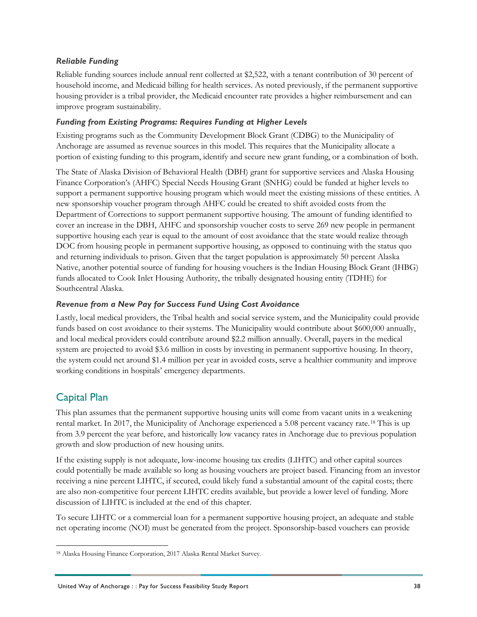# *Reliable Funding*

Reliable funding sources include annual rent collected at \$2,522, with a tenant contribution of 30 percent of household income, and Medicaid billing for health services. As noted previously, if the permanent supportive housing provider is a tribal provider, the Medicaid encounter rate provides a higher reimbursement and can improve program sustainability.

## *Funding from Existing Programs: Requires Funding at Higher Levels*

Existing programs such as the Community Development Block Grant (CDBG) to the Municipality of Anchorage are assumed as revenue sources in this model. This requires that the Municipality allocate a portion of existing funding to this program, identify and secure new grant funding, or a combination of both.

The State of Alaska Division of Behavioral Health (DBH) grant for supportive services and Alaska Housing Finance Corporation's (AHFC) Special Needs Housing Grant (SNHG) could be funded at higher levels to support a permanent supportive housing program which would meet the existing missions of these entities. A new sponsorship voucher program through AHFC could be created to shift avoided costs from the Department of Corrections to support permanent supportive housing. The amount of funding identified to cover an increase in the DBH, AHFC and sponsorship voucher costs to serve 269 new people in permanent supportive housing each year is equal to the amount of cost avoidance that the state would realize through DOC from housing people in permanent supportive housing, as opposed to continuing with the status quo and returning individuals to prison. Given that the target population is approximately 50 percent Alaska Native, another potential source of funding for housing vouchers is the Indian Housing Block Grant (IHBG) funds allocated to Cook Inlet Housing Authority, the tribally designated housing entity (TDHE) for Southcentral Alaska.

## *Revenue from a New Pay for Success Fund Using Cost Avoidance*

Lastly, local medical providers, the Tribal health and social service system, and the Municipality could provide funds based on cost avoidance to their systems. The Municipality would contribute about \$600,000 annually, and local medical providers could contribute around \$2.2 million annually. Overall, payers in the medical system are projected to avoid \$3.6 million in costs by investing in permanent supportive housing. In theory, the system could net around \$1.4 million per year in avoided costs, serve a healthier community and improve working conditions in hospitals' emergency departments.

# <span id="page-41-0"></span>Capital Plan

This plan assumes that the permanent supportive housing units will come from vacant units in a weakening rental market. In 2017, the Municipality of Anchorage experienced a 5.08 percent vacancy rate.[18](#page-41-1) This is up from 3.9 percent the year before, and historically low vacancy rates in Anchorage due to previous population growth and slow production of new housing units.

If the existing supply is not adequate, low-income housing tax credits (LIHTC) and other capital sources could potentially be made available so long as housing vouchers are project based. Financing from an investor receiving a nine percent LIHTC, if secured, could likely fund a substantial amount of the capital costs; there are also non-competitive four percent LIHTC credits available, but provide a lower level of funding. More discussion of LIHTC is included at the end of this chapter.

To secure LIHTC or a commercial loan for a permanent supportive housing project, an adequate and stable net operating income (NOI) must be generated from the project. Sponsorship-based vouchers can provide

<span id="page-41-1"></span> <sup>18</sup> Alaska Housing Finance Corporation, 2017 Alaska Rental Market Survey.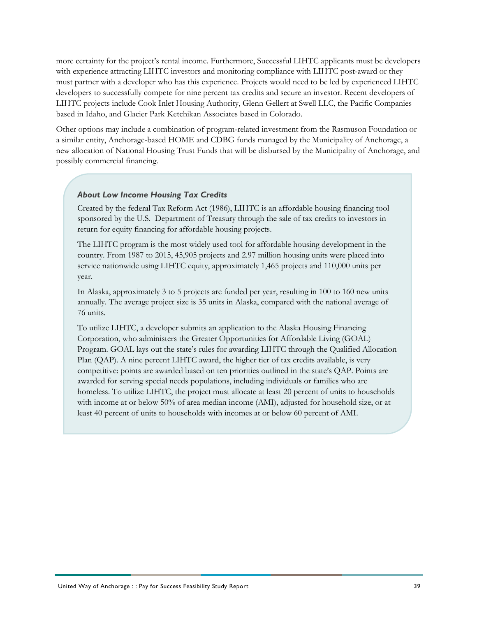more certainty for the project's rental income. Furthermore, Successful LIHTC applicants must be developers with experience attracting LIHTC investors and monitoring compliance with LIHTC post-award or they must partner with a developer who has this experience. Projects would need to be led by experienced LIHTC developers to successfully compete for nine percent tax credits and secure an investor. Recent developers of LIHTC projects include Cook Inlet Housing Authority, Glenn Gellert at Swell LLC, the Pacific Companies based in Idaho, and Glacier Park Ketchikan Associates based in Colorado.

Other options may include a combination of program-related investment from the Rasmuson Foundation or a similar entity, Anchorage-based HOME and CDBG funds managed by the Municipality of Anchorage, a new allocation of National Housing Trust Funds that will be disbursed by the Municipality of Anchorage, and possibly commercial financing.

### *About Low Income Housing Tax Credits*

Created by the federal Tax Reform Act (1986), LIHTC is an affordable housing financing tool sponsored by the U.S. Department of Treasury through the sale of tax credits to investors in return for equity financing for affordable housing projects.

The LIHTC program is the most widely used tool for affordable housing development in the country. From 1987 to 2015, 45,905 projects and 2.97 million housing units were placed into service nationwide using LIHTC equity, approximately 1,465 projects and 110,000 units per year.

In Alaska, approximately 3 to 5 projects are funded per year, resulting in 100 to 160 new units annually. The average project size is 35 units in Alaska, compared with the national average of 76 units.

To utilize LIHTC, a developer submits an application to the Alaska Housing Financing Corporation, who administers the Greater Opportunities for Affordable Living (GOAL) Program. GOAL lays out the state's rules for awarding LIHTC through the Qualified Allocation Plan (QAP). A nine percent LIHTC award, the higher tier of tax credits available, is very competitive: points are awarded based on ten priorities outlined in the state's QAP. Points are awarded for serving special needs populations, including individuals or families who are homeless. To utilize LIHTC, the project must allocate at least 20 percent of units to households with income at or below 50% of area median income (AMI), adjusted for household size, or at least 40 percent of units to households with incomes at or below 60 percent of AMI.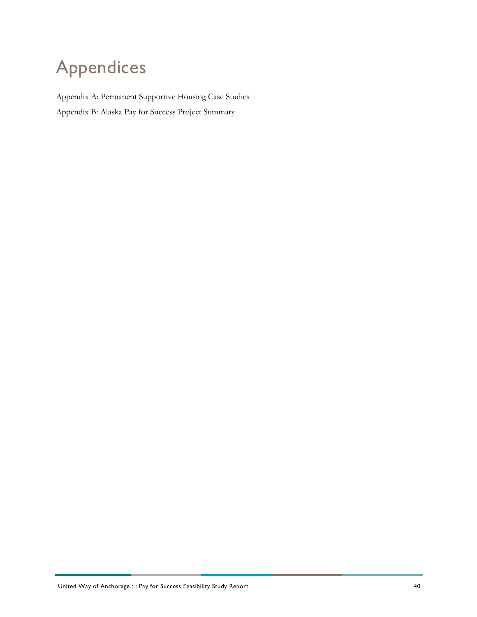# <span id="page-43-0"></span>Appendices

Appendix A: Permanent Supportive Housing Case Studies Appendix B: Alaska Pay for Success Project Summary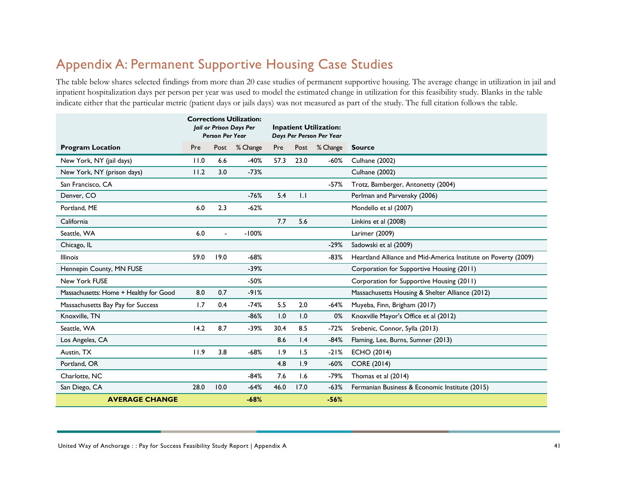# Appendix A: Permanent Supportive Housing Case Studies

The table below shares selected findings from more than 20 case studies of permanent supportive housing. The average change in utilization in jail and inpatient hospitalization days per person per year was used to model the estimated change in utilization for this feasibility study. Blanks in the table indicate either that the particular metric (patient days or jails days) was not measured as part of the study. The full citation follows the table.

<span id="page-44-0"></span>

|                                        |      | <b>Person Per Year</b> | <b>Corrections Utilization:</b><br>Jail or Prison Days Per | <b>Inpatient Utilization:</b><br>Days Per Person Per Year |      |          |                                                                |
|----------------------------------------|------|------------------------|------------------------------------------------------------|-----------------------------------------------------------|------|----------|----------------------------------------------------------------|
| <b>Program Location</b>                | Pre  | Post                   | % Change                                                   | Pre                                                       | Post | % Change | <b>Source</b>                                                  |
| New York, NY (jail days)               | 11.0 | 6.6                    | $-40%$                                                     | 57.3                                                      | 23.0 | $-60%$   | <b>Culhane (2002)</b>                                          |
| New York, NY (prison days)             | 11.2 | 3.0                    | $-73%$                                                     |                                                           |      |          | <b>Culhane (2002)</b>                                          |
| San Francisco, CA                      |      |                        |                                                            |                                                           |      | $-57%$   | Trotz, Bamberger, Antonetty (2004)                             |
| Denver, CO                             |      |                        | $-76%$                                                     | 5.4                                                       | 1.1  |          | Perlman and Parvensky (2006)                                   |
| Portland, ME                           | 6.0  | 2.3                    | $-62%$                                                     |                                                           |      |          | Mondello et al (2007)                                          |
| California                             |      |                        |                                                            | 7.7                                                       | 5.6  |          | Linkins et al (2008)                                           |
| Seattle, WA                            | 6.0  |                        | $-100%$                                                    |                                                           |      |          | Larimer (2009)                                                 |
| Chicago, IL                            |      |                        |                                                            |                                                           |      | $-29%$   | Sadowski et al (2009)                                          |
| <b>Illinois</b>                        | 59.0 | 19.0                   | $-68%$                                                     |                                                           |      | $-83%$   | Heartland Alliance and Mid-America Institute on Poverty (2009) |
| Hennepin County, MN FUSE               |      |                        | $-39%$                                                     |                                                           |      |          | Corporation for Supportive Housing (2011)                      |
| New York FUSE                          |      |                        | $-50%$                                                     |                                                           |      |          | Corporation for Supportive Housing (2011)                      |
| Massachusetts: Home + Healthy for Good | 8.0  | 0.7                    | $-91%$                                                     |                                                           |      |          | Massachusetts Housing & Shelter Alliance (2012)                |
| Massachusetts Bay Pay for Success      | 1.7  | 0.4                    | $-74%$                                                     | 5.5                                                       | 2.0  | $-64%$   | Muyeba, Finn, Brigham (2017)                                   |
| Knoxville, TN                          |      |                        | $-86%$                                                     | 1.0                                                       | 1.0  | 0%       | Knoxville Mayor's Office et al (2012)                          |
| Seattle, WA                            | 14.2 | 8.7                    | $-39%$                                                     | 30.4                                                      | 8.5  | $-72%$   | Srebenic, Connor, Sylla (2013)                                 |
| Los Angeles, CA                        |      |                        |                                                            | 8.6                                                       | 1.4  | $-84%$   | Flaming, Lee, Burns, Sumner (2013)                             |
| Austin, TX                             | 11.9 | 3.8                    | $-68%$                                                     | 1.9                                                       | 1.5  | $-21%$   | <b>ECHO (2014)</b>                                             |
| Portland, OR                           |      |                        |                                                            | 4.8                                                       | 1.9  | $-60%$   | <b>CORE (2014)</b>                                             |
| Charlotte, NC                          |      |                        | $-84%$                                                     | 7.6                                                       | 1.6  | $-79%$   | Thomas et al (2014)                                            |
| San Diego, CA                          | 28.0 | 10.0                   | $-64%$                                                     | 46.0                                                      | 17.0 | $-63%$   | Fermanian Business & Economic Institute (2015)                 |
| <b>AVERAGE CHANGE</b>                  |      |                        | $-68%$                                                     |                                                           |      | $-56%$   |                                                                |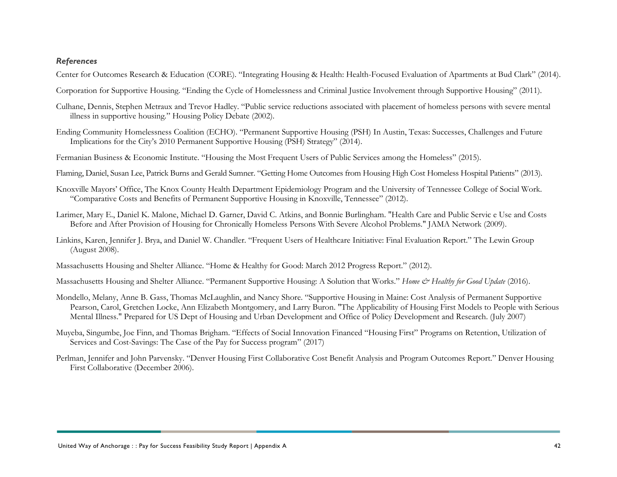### *References*

- Center for Outcomes Research & Education (CORE). "Integrating Housing & Health: Health-Focused Evaluation of Apartments at Bud Clark" (2014).
- Corporation for Supportive Housing. "Ending the Cycle of Homelessness and Criminal Justice Involvement through Supportive Housing" (2011).
- Culhane, Dennis, Stephen Metraux and Trevor Hadley. "Public service reductions associated with placement of homeless persons with severe mental illness in supportive housing." Housing Policy Debate (2002).
- Ending Community Homelessness Coalition (ECHO). "Permanent Supportive Housing (PSH) In Austin, Texas: Successes, Challenges and Future Implications for the City's 2010 Permanent Supportive Housing (PSH) Strategy" (2014).
- Fermanian Business & Economic Institute. "Housing the Most Frequent Users of Public Services among the Homeless" (2015).
- Flaming, Daniel, Susan Lee, Patrick Burns and Gerald Sumner. "Getting Home Outcomes from Housing High Cost Homeless Hospital Patients" (2013).
- Knoxville Mayors' Office, The Knox County Health Department Epidemiology Program and the University of Tennessee College of Social Work. "Comparative Costs and Benefits of Permanent Supportive Housing in Knoxville, Tennessee" (2012).
- Larimer, Mary E., Daniel K. Malone, Michael D. Garner, David C. Atkins, and Bonnie Burlingham. "Health Care and Public Servic e Use and Costs Before and After Provision of Housing for Chronically Homeless Persons With Severe Alcohol Problems." JAMA Network (2009).
- Linkins, Karen, Jennifer J. Brya, and Daniel W. Chandler. "Frequent Users of Healthcare Initiative: Final Evaluation Report." The Lewin Group (August 2008).
- Massachusetts Housing and Shelter Alliance. "Home & Healthy for Good: March 2012 Progress Report." (2012).
- Massachusetts Housing and Shelter Alliance. "Permanent Supportive Housing: A Solution that Works." *Home & Healthy for Good Update* (2016).
- Mondello, Melany, Anne B. Gass, Thomas McLaughlin, and Nancy Shore. "Supportive Housing in Maine: Cost Analysis of Permanent Supportive Pearson, Carol, Gretchen Locke, Ann Elizabeth Montgomery, and Larry Buron. "The Applicability of Housing First Models to People with Serious Mental Illness." Prepared for US Dept of Housing and Urban Development and Office of Policy Development and Research. (July 2007)
- Muyeba, Singumbe, Joe Finn, and Thomas Brigham. "Effects of Social Innovation Financed "Housing First" Programs on Retention, Utilization of Services and Cost-Savings: The Case of the Pay for Success program" (2017)
- Perlman, Jennifer and John Parvensky. "Denver Housing First Collaborative Cost Benefit Analysis and Program Outcomes Report." Denver Housing First Collaborative (December 2006).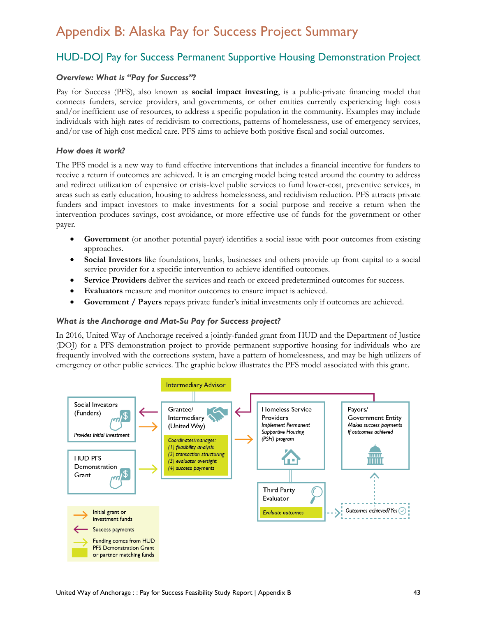# Appendix B: Alaska Pay for Success Project Summary

# HUD-DOJ Pay for Success Permanent Supportive Housing Demonstration Project

### *Overview: What is "Pay for Success"?*

Pay for Success (PFS), also known as **social impact investing**, is a public-private financing model that connects funders, service providers, and governments, or other entities currently experiencing high costs and/or inefficient use of resources, to address a specific population in the community. Examples may include individuals with high rates of recidivism to corrections, patterns of homelessness, use of emergency services, and/or use of high cost medical care. PFS aims to achieve both positive fiscal and social outcomes.

### *How does it work?*

The PFS model is a new way to fund effective interventions that includes a financial incentive for funders to receive a return if outcomes are achieved. It is an emerging model being tested around the country to address and redirect utilization of expensive or crisis-level public services to fund lower-cost, preventive services, in areas such as early education, housing to address homelessness, and recidivism reduction. PFS attracts private funders and impact investors to make investments for a social purpose and receive a return when the intervention produces savings, cost avoidance, or more effective use of funds for the government or other payer.

- **Government** (or another potential payer) identifies a social issue with poor outcomes from existing approaches.
- **Social Investors** like foundations, banks, businesses and others provide up front capital to a social service provider for a specific intervention to achieve identified outcomes.
- **Service Providers** deliver the services and reach or exceed predetermined outcomes for success.
- **Evaluators** measure and monitor outcomes to ensure impact is achieved.
- **Government / Payers** repays private funder's initial investments only if outcomes are achieved.

### *What is the Anchorage and Mat-Su Pay for Success project?*

In 2016, United Way of Anchorage received a jointly-funded grant from HUD and the Department of Justice (DOJ) for a PFS demonstration project to provide permanent supportive housing for individuals who are frequently involved with the corrections system, have a pattern of homelessness, and may be high utilizers of emergency or other public services. The graphic below illustrates the PFS model associated with this grant.

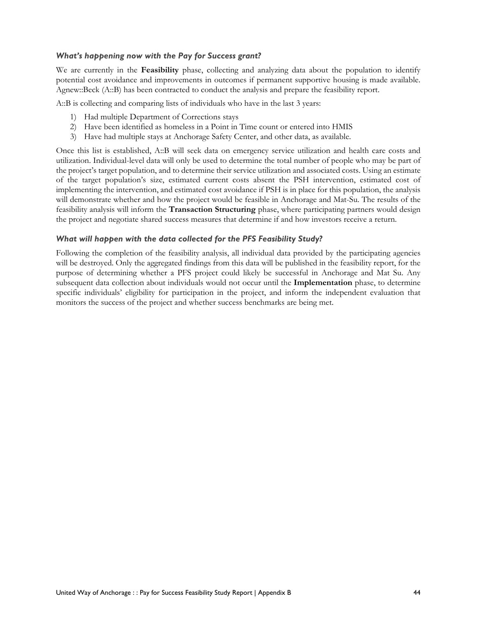### *What's happening now with the Pay for Success grant?*

We are currently in the **Feasibility** phase, collecting and analyzing data about the population to identify potential cost avoidance and improvements in outcomes if permanent supportive housing is made available. Agnew::Beck (A::B) has been contracted to conduct the analysis and prepare the feasibility report.

A::B is collecting and comparing lists of individuals who have in the last 3 years:

- 1) Had multiple Department of Corrections stays
- 2) Have been identified as homeless in a Point in Time count or entered into HMIS
- 3) Have had multiple stays at Anchorage Safety Center, and other data, as available.

Once this list is established, A::B will seek data on emergency service utilization and health care costs and utilization. Individual-level data will only be used to determine the total number of people who may be part of the project's target population, and to determine their service utilization and associated costs. Using an estimate of the target population's size, estimated current costs absent the PSH intervention, estimated cost of implementing the intervention, and estimated cost avoidance if PSH is in place for this population, the analysis will demonstrate whether and how the project would be feasible in Anchorage and Mat-Su. The results of the feasibility analysis will inform the **Transaction Structuring** phase, where participating partners would design the project and negotiate shared success measures that determine if and how investors receive a return.

### *What will happen with the data collected for the PFS Feasibility Study?*

Following the completion of the feasibility analysis, all individual data provided by the participating agencies will be destroyed. Only the aggregated findings from this data will be published in the feasibility report, for the purpose of determining whether a PFS project could likely be successful in Anchorage and Mat Su. Any subsequent data collection about individuals would not occur until the **Implementation** phase, to determine specific individuals' eligibility for participation in the project, and inform the independent evaluation that monitors the success of the project and whether success benchmarks are being met.